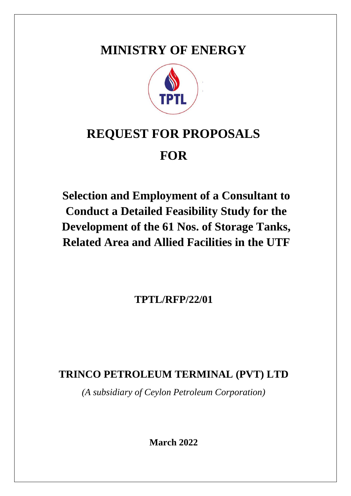# **MINISTRY OF ENERGY**



# **REQUEST FOR PROPOSALS FOR**

**Selection and Employment of a Consultant to Conduct a Detailed Feasibility Study for the Development of the 61 Nos. of Storage Tanks, Related Area and Allied Facilities in the UTF**

**TPTL/RFP/22/01**

**TRINCO PETROLEUM TERMINAL (PVT) LTD**

*(A subsidiary of Ceylon Petroleum Corporation)*

**March 2022**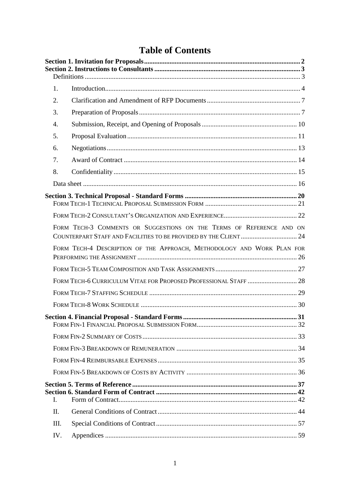## **Table of Contents**

| 1.   |                                                                        |  |
|------|------------------------------------------------------------------------|--|
| 2.   |                                                                        |  |
| 3.   |                                                                        |  |
| 4.   |                                                                        |  |
| 5.   |                                                                        |  |
| 6.   |                                                                        |  |
| 7.   |                                                                        |  |
| 8.   |                                                                        |  |
|      |                                                                        |  |
|      |                                                                        |  |
|      |                                                                        |  |
|      | FORM TECH-3 COMMENTS OR SUGGESTIONS ON THE TERMS OF REFERENCE AND ON   |  |
|      | FORM TECH-4 DESCRIPTION OF THE APPROACH, METHODOLOGY AND WORK PLAN FOR |  |
|      |                                                                        |  |
|      | FORM TECH-6 CURRICULUM VITAE FOR PROPOSED PROFESSIONAL STAFF  28       |  |
|      |                                                                        |  |
|      |                                                                        |  |
|      |                                                                        |  |
|      |                                                                        |  |
|      |                                                                        |  |
|      |                                                                        |  |
|      |                                                                        |  |
| Ι.   |                                                                        |  |
| П.   |                                                                        |  |
| III. |                                                                        |  |
| IV.  |                                                                        |  |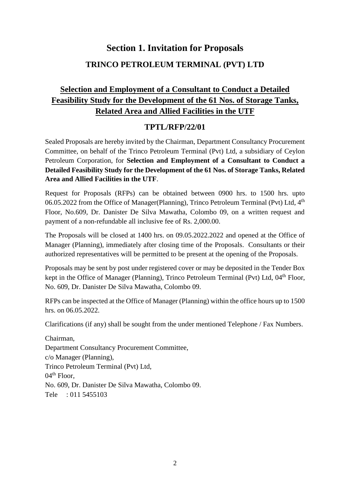## **Section 1. Invitation for Proposals**

## **TRINCO PETROLEUM TERMINAL (PVT) LTD**

## <span id="page-2-0"></span>**Selection and Employment of a Consultant to Conduct a Detailed Feasibility Study for the Development of the 61 Nos. of Storage Tanks, Related Area and Allied Facilities in the UTF**

## **TPTL/RFP/22/01**

Sealed Proposals are hereby invited by the Chairman, Department Consultancy Procurement Committee, on behalf of the Trinco Petroleum Terminal (Pvt) Ltd, a subsidiary of Ceylon Petroleum Corporation, for **Selection and Employment of a Consultant to Conduct a Detailed Feasibility Study for the Development of the 61 Nos. of Storage Tanks, Related Area and Allied Facilities in the UTF**.

Request for Proposals (RFPs) can be obtained between 0900 hrs. to 1500 hrs. upto 06.05.2022 from the Office of Manager(Planning), Trinco Petroleum Terminal (Pvt) Ltd, 4<sup>th</sup> Floor, No.609, Dr. Danister De Silva Mawatha, Colombo 09, on a written request and payment of a non-refundable all inclusive fee of Rs. 2,000.00.

The Proposals will be closed at 1400 hrs. on 09.05.2022.2022 and opened at the Office of Manager (Planning), immediately after closing time of the Proposals. Consultants or their authorized representatives will be permitted to be present at the opening of the Proposals.

Proposals may be sent by post under registered cover or may be deposited in the Tender Box kept in the Office of Manager (Planning), Trinco Petroleum Terminal (Pvt) Ltd, 04<sup>th</sup> Floor, No. 609, Dr. Danister De Silva Mawatha, Colombo 09.

RFPs can be inspected at the Office of Manager (Planning) within the office hours up to 1500 hrs. on 06.05.2022.

Clarifications (if any) shall be sought from the under mentioned Telephone / Fax Numbers.

Chairman, Department Consultancy Procurement Committee, c/o Manager (Planning), Trinco Petroleum Terminal (Pvt) Ltd,  $04<sup>th</sup>$  Floor, No. 609, Dr. Danister De Silva Mawatha, Colombo 09. Tele : 011 5455103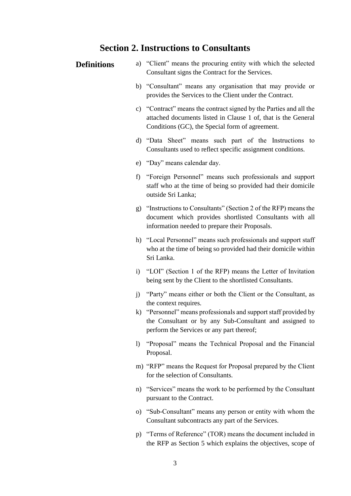## **Section 2. Instructions to Consultants**

<span id="page-3-1"></span><span id="page-3-0"></span>

| <b>Definitions</b> |                  | a) "Client" means the procuring entity with which the selected<br>Consultant signs the Contract for the Services.                                                                      |
|--------------------|------------------|----------------------------------------------------------------------------------------------------------------------------------------------------------------------------------------|
|                    |                  | b) "Consultant" means any organisation that may provide or<br>provides the Services to the Client under the Contract.                                                                  |
|                    |                  | c) "Contract" means the contract signed by the Parties and all the<br>attached documents listed in Clause 1 of, that is the General<br>Conditions (GC), the Special form of agreement. |
|                    |                  | d) "Data Sheet" means such part of the Instructions to<br>Consultants used to reflect specific assignment conditions.                                                                  |
|                    |                  | e) "Day" means calendar day.                                                                                                                                                           |
|                    |                  | f) "Foreign Personnel" means such professionals and support<br>staff who at the time of being so provided had their domicile<br>outside Sri Lanka;                                     |
|                    |                  | g) "Instructions to Consultants" (Section 2 of the RFP) means the<br>document which provides shortlisted Consultants with all<br>information needed to prepare their Proposals.        |
|                    |                  | h) "Local Personnel" means such professionals and support staff<br>who at the time of being so provided had their domicile within<br>Sri Lanka.                                        |
|                    | i)               | "LOI" (Section 1 of the RFP) means the Letter of Invitation<br>being sent by the Client to the shortlisted Consultants.                                                                |
|                    | $j$ )            | "Party" means either or both the Client or the Consultant, as<br>the context requires.                                                                                                 |
|                    |                  | k) "Personnel" means professionals and support staff provided by<br>the Consultant or by any Sub-Consultant and assigned to<br>perform the Services or any part thereof;               |
|                    | $\left( \right)$ | "Proposal" means the Technical Proposal and the Financial<br>Proposal.                                                                                                                 |
|                    |                  | m) "RFP" means the Request for Proposal prepared by the Client<br>for the selection of Consultants.                                                                                    |

- n) "Services" means the work to be performed by the Consultant pursuant to the Contract.
- o) "Sub-Consultant" means any person or entity with whom the Consultant subcontracts any part of the Services.
- p) "Terms of Reference" (TOR) means the document included in the RFP as Section 5 which explains the objectives, scope of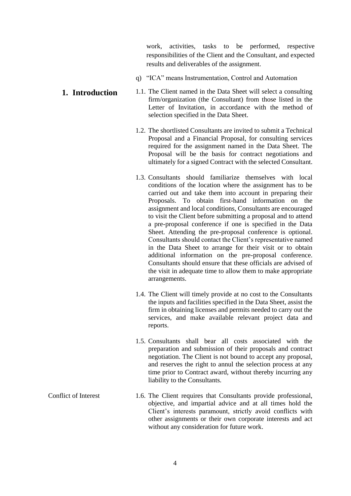work, activities, tasks to be performed, respective responsibilities of the Client and the Consultant, and expected results and deliverables of the assignment.

q) "ICA" means Instrumentation, Control and Automation

#### <span id="page-4-0"></span>**1. Introduction** 1.1. The Client named in the Data Sheet will select a consulting firm/organization (the Consultant) from those listed in the Letter of Invitation, in accordance with the method of selection specified in the Data Sheet.

- 1.2. The shortlisted Consultants are invited to submit a Technical Proposal and a Financial Proposal, for consulting services required for the assignment named in the Data Sheet. The Proposal will be the basis for contract negotiations and ultimately for a signed Contract with the selected Consultant.
- 1.3. Consultants should familiarize themselves with local conditions of the location where the assignment has to be carried out and take them into account in preparing their Proposals. To obtain first-hand information on the assignment and local conditions, Consultants are encouraged to visit the Client before submitting a proposal and to attend a pre-proposal conference if one is specified in the Data Sheet. Attending the pre-proposal conference is optional. Consultants should contact the Client's representative named in the Data Sheet to arrange for their visit or to obtain additional information on the pre-proposal conference. Consultants should ensure that these officials are advised of the visit in adequate time to allow them to make appropriate arrangements.
- 1.4. The Client will timely provide at no cost to the Consultants the inputs and facilities specified in the Data Sheet, assist the firm in obtaining licenses and permits needed to carry out the services, and make available relevant project data and reports.
- 1.5. Consultants shall bear all costs associated with the preparation and submission of their proposals and contract negotiation. The Client is not bound to accept any proposal, and reserves the right to annul the selection process at any time prior to Contract award, without thereby incurring any liability to the Consultants.
- Conflict of Interest 1.6. The Client requires that Consultants provide professional, objective, and impartial advice and at all times hold the Client's interests paramount, strictly avoid conflicts with other assignments or their own corporate interests and act without any consideration for future work.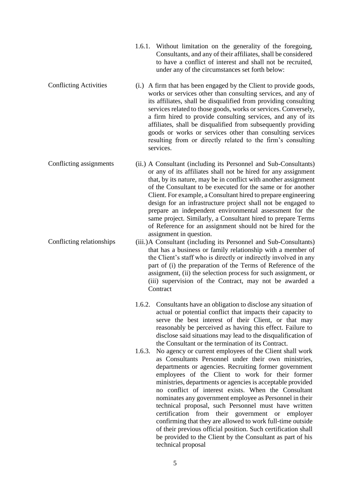- 1.6.1. Without limitation on the generality of the foregoing, Consultants, and any of their affiliates, shall be considered to have a conflict of interest and shall not be recruited, under any of the circumstances set forth below:
- Conflicting Activities (i.) A firm that has been engaged by the Client to provide goods, works or services other than consulting services, and any of its affiliates, shall be disqualified from providing consulting services related to those goods, works or services. Conversely, a firm hired to provide consulting services, and any of its affiliates, shall be disqualified from subsequently providing goods or works or services other than consulting services resulting from or directly related to the firm's consulting services.
- Conflicting assignments (ii.) A Consultant (including its Personnel and Sub-Consultants) or any of its affiliates shall not be hired for any assignment that, by its nature, may be in conflict with another assignment of the Consultant to be executed for the same or for another Client. For example, a Consultant hired to prepare engineering design for an infrastructure project shall not be engaged to prepare an independent environmental assessment for the same project. Similarly, a Consultant hired to prepare Terms of Reference for an assignment should not be hired for the assignment in question.

Conflicting relationships (iii.)A Consultant (including its Personnel and Sub-Consultants) that has a business or family relationship with a member of the Client's staff who is directly or indirectly involved in any part of (i) the preparation of the Terms of Reference of the assignment, (ii) the selection process for such assignment, or (iii) supervision of the Contract, may not be awarded a **Contract** 

- 1.6.2. Consultants have an obligation to disclose any situation of actual or potential conflict that impacts their capacity to serve the best interest of their Client, or that may reasonably be perceived as having this effect. Failure to disclose said situations may lead to the disqualification of the Consultant or the termination of its Contract.
- 1.6.3. No agency or current employees of the Client shall work as Consultants Personnel under their own ministries, departments or agencies. Recruiting former government employees of the Client to work for their former ministries, departments or agencies is acceptable provided no conflict of interest exists. When the Consultant nominates any government employee as Personnel in their technical proposal, such Personnel must have written certification from their government or employer confirming that they are allowed to work full-time outside of their previous official position. Such certification shall be provided to the Client by the Consultant as part of his technical proposal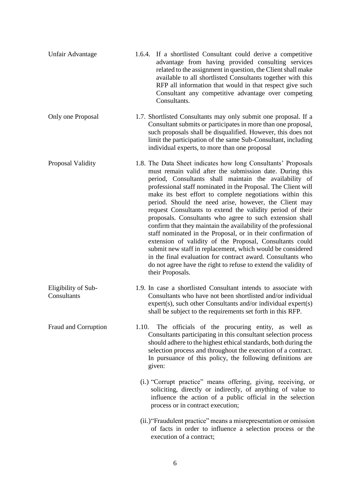| Unfair Advantage                   | 1.6.4. If a shortlisted Consultant could derive a competitive<br>advantage from having provided consulting services<br>related to the assignment in question, the Client shall make<br>available to all shortlisted Consultants together with this<br>RFP all information that would in that respect give such<br>Consultant any competitive advantage over competing<br>Consultants.                                                                                                                                                                                                                                                                                                                                                                                                                                                                                                                                    |
|------------------------------------|--------------------------------------------------------------------------------------------------------------------------------------------------------------------------------------------------------------------------------------------------------------------------------------------------------------------------------------------------------------------------------------------------------------------------------------------------------------------------------------------------------------------------------------------------------------------------------------------------------------------------------------------------------------------------------------------------------------------------------------------------------------------------------------------------------------------------------------------------------------------------------------------------------------------------|
| Only one Proposal                  | 1.7. Shortlisted Consultants may only submit one proposal. If a<br>Consultant submits or participates in more than one proposal,<br>such proposals shall be disqualified. However, this does not<br>limit the participation of the same Sub-Consultant, including<br>individual experts, to more than one proposal                                                                                                                                                                                                                                                                                                                                                                                                                                                                                                                                                                                                       |
| Proposal Validity                  | 1.8. The Data Sheet indicates how long Consultants' Proposals<br>must remain valid after the submission date. During this<br>period, Consultants shall maintain the availability of<br>professional staff nominated in the Proposal. The Client will<br>make its best effort to complete negotiations within this<br>period. Should the need arise, however, the Client may<br>request Consultants to extend the validity period of their<br>proposals. Consultants who agree to such extension shall<br>confirm that they maintain the availability of the professional<br>staff nominated in the Proposal, or in their confirmation of<br>extension of validity of the Proposal, Consultants could<br>submit new staff in replacement, which would be considered<br>in the final evaluation for contract award. Consultants who<br>do not agree have the right to refuse to extend the validity of<br>their Proposals. |
| Eligibility of Sub-<br>Consultants | 1.9. In case a shortlisted Consultant intends to associate with<br>Consultants who have not been shortlisted and/or individual<br>expert(s), such other Consultants and/or individual expert(s)<br>shall be subject to the requirements set forth in this RFP.                                                                                                                                                                                                                                                                                                                                                                                                                                                                                                                                                                                                                                                           |
| Fraud and Corruption               | 1.10. The officials of the procuring entity, as well as<br>Consultants participating in this consultant selection process<br>should adhere to the highest ethical standards, both during the<br>selection process and throughout the execution of a contract.<br>In pursuance of this policy, the following definitions are<br>given:                                                                                                                                                                                                                                                                                                                                                                                                                                                                                                                                                                                    |
|                                    | (i.) "Corrupt practice" means offering, giving, receiving, or<br>soliciting, directly or indirectly, of anything of value to<br>influence the action of a public official in the selection<br>process or in contract execution;                                                                                                                                                                                                                                                                                                                                                                                                                                                                                                                                                                                                                                                                                          |
|                                    | (ii.) "Fraudulent practice" means a misrepresentation or omission<br>of facts in order to influence a selection process or the<br>execution of a contract;                                                                                                                                                                                                                                                                                                                                                                                                                                                                                                                                                                                                                                                                                                                                                               |

6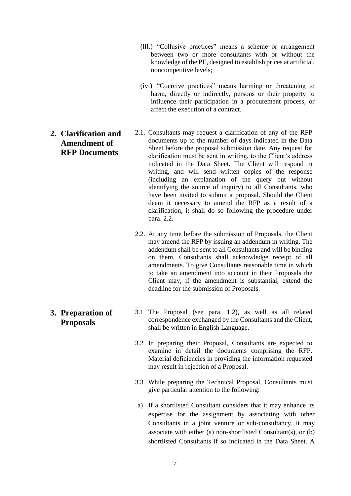- (iii.) "Collusive practices" means a scheme or arrangement between two or more consultants with or without the knowledge of the PE, designed to establish prices at artificial, noncompetitive levels;
- (iv.) "Coercive practices" means harming or threatening to harm, directly or indirectly, persons or their property to influence their participation in a procurement process, or affect the execution of a contract.
- 2.1. Consultants may request a clarification of any of the RFP documents up to the number of days indicated in the Data Sheet before the proposal submission date. Any request for clarification must be sent in writing, to the Client's address indicated in the Data Sheet. The Client will respond in writing, and will send written copies of the response (including an explanation of the query but without identifying the source of inquiry) to all Consultants, who have been invited to submit a proposal. Should the Client deem it necessary to amend the RFP as a result of a clarification, it shall do so following the procedure under para. 2.2.
	- 2.2. At any time before the submission of Proposals, the Client may amend the RFP by issuing an addendum in writing. The addendum shall be sent to all Consultants and will be binding on them. Consultants shall acknowledge receipt of all amendments. To give Consultants reasonable time in which to take an amendment into account in their Proposals the Client may, if the amendment is substantial, extend the deadline for the submission of Proposals.
	- 3.1 The Proposal (see para. 1.2), as well as all related correspondence exchanged by the Consultants and the Client, shall be written in English Language.
	- 3.2 In preparing their Proposal, Consultants are expected to examine in detail the documents comprising the RFP. Material deficiencies in providing the information requested may result in rejection of a Proposal.
	- 3.3 While preparing the Technical Proposal, Consultants must give particular attention to the following:
	- a) If a shortlisted Consultant considers that it may enhance its expertise for the assignment by associating with other Consultants in a joint venture or sub-consultancy, it may associate with either (a) non-shortlisted Consultant(s), or (b) shortlisted Consultants if so indicated in the Data Sheet. A

## <span id="page-7-0"></span>**2. Clarification and Amendment of RFP Documents**

## <span id="page-7-1"></span>**3. Preparation of Proposals**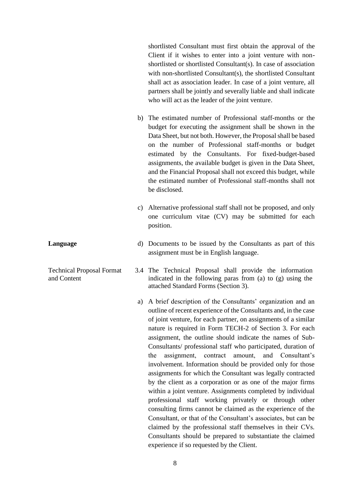shortlisted Consultant must first obtain the approval of the Client if it wishes to enter into a joint venture with nonshortlisted or shortlisted Consultant(s). In case of association with non-shortlisted Consultant(s), the shortlisted Consultant shall act as association leader. In case of a joint venture, all partners shall be jointly and severally liable and shall indicate who will act as the leader of the joint venture.

- b) The estimated number of Professional staff-months or the budget for executing the assignment shall be shown in the Data Sheet, but not both. However, the Proposal shall be based on the number of Professional staff-months or budget estimated by the Consultants. For fixed-budget-based assignments, the available budget is given in the Data Sheet, and the Financial Proposal shall not exceed this budget, while the estimated number of Professional staff-months shall not be disclosed.
- c) Alternative professional staff shall not be proposed, and only one curriculum vitae (CV) may be submitted for each position.
- **Language** d) Documents to be issued by the Consultants as part of this assignment must be in English language.
	- 3.4 The Technical Proposal shall provide the information indicated in the following paras from (a) to (g) using the attached Standard Forms (Section 3).
	- a) A brief description of the Consultants' organization and an outline of recent experience of the Consultants and, in the case of joint venture, for each partner, on assignments of a similar nature is required in Form TECH-2 of Section 3. For each assignment, the outline should indicate the names of Sub-Consultants/ professional staff who participated, duration of the assignment, contract amount, and Consultant's involvement. Information should be provided only for those assignments for which the Consultant was legally contracted by the client as a corporation or as one of the major firms within a joint venture. Assignments completed by individual professional staff working privately or through other consulting firms cannot be claimed as the experience of the Consultant, or that of the Consultant's associates, but can be claimed by the professional staff themselves in their CVs. Consultants should be prepared to substantiate the claimed experience if so requested by the Client.

Technical Proposal Format and Content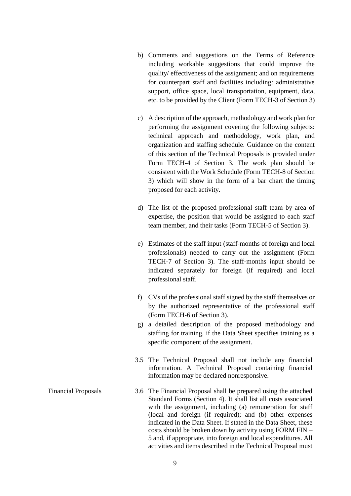- b) Comments and suggestions on the Terms of Reference including workable suggestions that could improve the quality/ effectiveness of the assignment; and on requirements for counterpart staff and facilities including: administrative support, office space, local transportation, equipment, data, etc. to be provided by the Client (Form TECH-3 of Section 3)
- c) A description of the approach, methodology and work plan for performing the assignment covering the following subjects: technical approach and methodology, work plan, and organization and staffing schedule. Guidance on the content of this section of the Technical Proposals is provided under Form TECH-4 of Section 3. The work plan should be consistent with the Work Schedule (Form TECH-8 of Section 3) which will show in the form of a bar chart the timing proposed for each activity.
- d) The list of the proposed professional staff team by area of expertise, the position that would be assigned to each staff team member, and their tasks (Form TECH-5 of Section 3).
- e) Estimates of the staff input (staff-months of foreign and local professionals) needed to carry out the assignment (Form TECH-7 of Section 3). The staff-months input should be indicated separately for foreign (if required) and local professional staff.
- f) CVs of the professional staff signed by the staff themselves or by the authorized representative of the professional staff (Form TECH-6 of Section 3).
- g) a detailed description of the proposed methodology and staffing for training, if the Data Sheet specifies training as a specific component of the assignment.
- 3.5 The Technical Proposal shall not include any financial information. A Technical Proposal containing financial information may be declared nonresponsive.
- Financial Proposals 3.6 The Financial Proposal shall be prepared using the attached Standard Forms (Section 4). It shall list all costs associated with the assignment, including (a) remuneration for staff (local and foreign (if required); and (b) other expenses indicated in the Data Sheet. If stated in the Data Sheet, these costs should be broken down by activity using FORM FIN – 5 and, if appropriate, into foreign and local expenditures. All activities and items described in the Technical Proposal must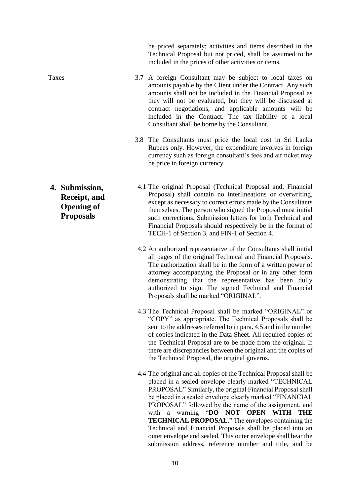be priced separately; activities and items described in the Technical Proposal but not priced, shall be assumed to be included in the prices of other activities or items.

- Taxes 3.7 A foreign Consultant may be subject to local taxes on amounts payable by the Client under the Contract. Any such amounts shall not be included in the Financial Proposal as they will not be evaluated, but they will be discussed at contract negotiations, and applicable amounts will be included in the Contract. The tax liability of a local Consultant shall be borne by the Consultant.
	- 3.8 The Consultants must price the local cost in Sri Lanka Rupees only. However, the expenditure involves in foreign currency such as foreign consultant's fees and air ticket may be price in foreign currency
	- 4.1 The original Proposal (Technical Proposal and, Financial Proposal) shall contain no interlineations or overwriting, except as necessary to correct errors made by the Consultants themselves. The person who signed the Proposal must initial such corrections. Submission letters for both Technical and Financial Proposals should respectively be in the format of TECH-1 of Section 3, and FIN-1 of Section 4.
		- 4.2 An authorized representative of the Consultants shall initial all pages of the original Technical and Financial Proposals. The authorization shall be in the form of a written power of attorney accompanying the Proposal or in any other form demonstrating that the representative has been dully authorized to sign. The signed Technical and Financial Proposals shall be marked "ORIGINAL".
		- 4.3 The Technical Proposal shall be marked "ORIGINAL" or "COPY" as appropriate. The Technical Proposals shall be sent to the addresses referred to in para. 4.5 and in the number of copies indicated in the Data Sheet. All required copies of the Technical Proposal are to be made from the original. If there are discrepancies between the original and the copies of the Technical Proposal, the original governs.
		- 4.4 The original and all copies of the Technical Proposal shall be placed in a sealed envelope clearly marked "TECHNICAL PROPOSAL" Similarly, the original Financial Proposal shall be placed in a sealed envelope clearly marked "FINANCIAL PROPOSAL" followed by the name of the assignment, and with a warning "**DO NOT OPEN WITH THE TECHNICAL PROPOSAL**." The envelopes containing the Technical and Financial Proposals shall be placed into an outer envelope and sealed. This outer envelope shall bear the submission address, reference number and title, and be

<span id="page-10-0"></span>**4. Submission, Receipt, and Opening of Proposals**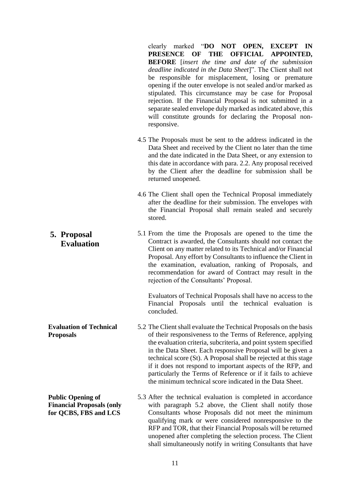clearly marked "**DO NOT OPEN, EXCEPT IN PRESENCE OF THE OFFICIAL APPOINTED, BEFORE** [*insert the time and date of the submission deadline indicated in the Data Sheet*]". The Client shall not be responsible for misplacement, losing or premature opening if the outer envelope is not sealed and/or marked as stipulated. This circumstance may be case for Proposal rejection. If the Financial Proposal is not submitted in a separate sealed envelope duly marked as indicated above, this will constitute grounds for declaring the Proposal nonresponsive.

- 4.5 The Proposals must be sent to the address indicated in the Data Sheet and received by the Client no later than the time and the date indicated in the Data Sheet, or any extension to this date in accordance with para. 2.2. Any proposal received by the Client after the deadline for submission shall be returned unopened.
- 4.6 The Client shall open the Technical Proposal immediately after the deadline for their submission. The envelopes with the Financial Proposal shall remain sealed and securely stored.
- 5.1 From the time the Proposals are opened to the time the Contract is awarded, the Consultants should not contact the Client on any matter related to its Technical and/or Financial Proposal. Any effort by Consultants to influence the Client in the examination, evaluation, ranking of Proposals, and recommendation for award of Contract may result in the rejection of the Consultants' Proposal.

Evaluators of Technical Proposals shall have no access to the Financial Proposals until the technical evaluation is concluded.

- **Evaluation of Technical Proposals** 5.2 The Client shall evaluate the Technical Proposals on the basis of their responsiveness to the Terms of Reference, applying the evaluation criteria, subcriteria, and point system specified in the Data Sheet. Each responsive Proposal will be given a technical score (St). A Proposal shall be rejected at this stage if it does not respond to important aspects of the RFP, and particularly the Terms of Reference or if it fails to achieve the minimum technical score indicated in the Data Sheet.
- **Public Opening of Financial Proposals (only for QCBS, FBS and LCS** 5.3 After the technical evaluation is completed in accordance with paragraph 5.2 above, the Client shall notify those Consultants whose Proposals did not meet the minimum qualifying mark or were considered nonresponsive to the RFP and TOR, that their Financial Proposals will be returned unopened after completing the selection process. The Client shall simultaneously notify in writing Consultants that have

## <span id="page-11-0"></span>**5. Proposal Evaluation**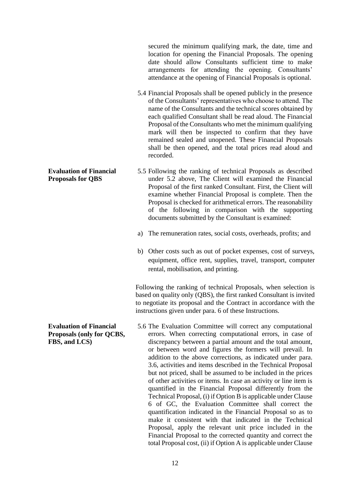secured the minimum qualifying mark, the date, time and location for opening the Financial Proposals. The opening date should allow Consultants sufficient time to make arrangements for attending the opening. Consultants' attendance at the opening of Financial Proposals is optional.

5.4 Financial Proposals shall be opened publicly in the presence of the Consultants' representatives who choose to attend. The name of the Consultants and the technical scores obtained by each qualified Consultant shall be read aloud. The Financial Proposal of the Consultants who met the minimum qualifying mark will then be inspected to confirm that they have remained sealed and unopened. These Financial Proposals shall be then opened, and the total prices read aloud and recorded.

**Proposals for QBS** 5.5 Following the ranking of technical Proposals as described under 5.2 above, The Client will examined the Financial Proposal of the first ranked Consultant. First, the Client will examine whether Financial Proposal is complete. Then the Proposal is checked for arithmetical errors. The reasonability of the following in comparison with the supporting documents submitted by the Consultant is examined:

- a) The remuneration rates, social costs, overheads, profits; and
- b) Other costs such as out of pocket expenses, cost of surveys, equipment, office rent, supplies, travel, transport, computer rental, mobilisation, and printing.

Following the ranking of technical Proposals, when selection is based on quality only (QBS), the first ranked Consultant is invited to negotiate its proposal and the Contract in accordance with the instructions given under para. 6 of these Instructions.

**Evaluation of Financial Proposals (only for QCBS, FBS, and LCS)** 5.6 The Evaluation Committee will correct any computational errors. When correcting computational errors, in case of discrepancy between a partial amount and the total amount, or between word and figures the formers will prevail. In addition to the above corrections, as indicated under para. 3.6, activities and items described in the Technical Proposal but not priced, shall be assumed to be included in the prices of other activities or items. In case an activity or line item is quantified in the Financial Proposal differently from the Technical Proposal, (i) if Option B is applicable under Clause 6 of GC, the Evaluation Committee shall correct the quantification indicated in the Financial Proposal so as to make it consistent with that indicated in the Technical Proposal, apply the relevant unit price included in the Financial Proposal to the corrected quantity and correct the total Proposal cost, (ii) if Option A is applicable under Clause

# **Evaluation of Financial**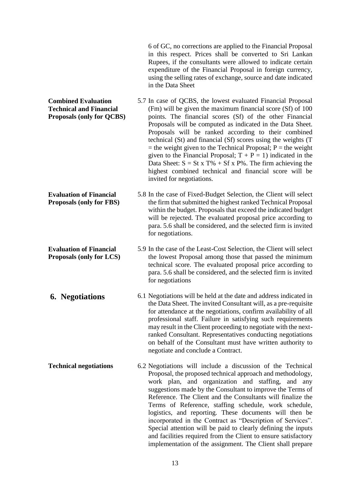6 of GC, no corrections are applied to the Financial Proposal in this respect. Prices shall be converted to Sri Lankan Rupees, if the consultants were allowed to indicate certain expenditure of the Financial Proposal in foreign currency, using the selling rates of exchange, source and date indicated in the Data Sheet

**Combined Evaluation Technical and Financial Proposals (only for QCBS)** 5.7 In case of QCBS, the lowest evaluated Financial Proposal (Fm) will be given the maximum financial score (Sf) of 100 points. The financial scores (Sf) of the other Financial Proposals will be computed as indicated in the Data Sheet. Proposals will be ranked according to their combined technical (St) and financial (Sf) scores using the weights (T  $=$  the weight given to the Technical Proposal; P  $=$  the weight given to the Financial Proposal;  $T + P = 1$ ) indicated in the Data Sheet:  $S = St x T\% + Sf x P\%$ . The firm achieving the highest combined technical and financial score will be invited for negotiations.

**Evaluation of Financial Proposals (only for FBS)** 5.8 In the case of Fixed-Budget Selection, the Client will select the firm that submitted the highest ranked Technical Proposal within the budget. Proposals that exceed the indicated budget will be rejected. The evaluated proposal price according to para. 5.6 shall be considered, and the selected firm is invited for negotiations.

**Evaluation of Financial Proposals (only for LCS)** 5.9 In the case of the Least-Cost Selection, the Client will select the lowest Proposal among those that passed the minimum technical score. The evaluated proposal price according to para. 5.6 shall be considered, and the selected firm is invited for negotiations

<span id="page-13-0"></span>**6. Negotiations** 6.1 Negotiations will be held at the date and address indicated in the Data Sheet. The invited Consultant will, as a pre-requisite for attendance at the negotiations, confirm availability of all professional staff. Failure in satisfying such requirements may result in the Client proceeding to negotiate with the nextranked Consultant. Representatives conducting negotiations on behalf of the Consultant must have written authority to negotiate and conclude a Contract.

**Technical negotiations** 6.2 Negotiations will include a discussion of the Technical Proposal, the proposed technical approach and methodology, work plan, and organization and staffing, and any suggestions made by the Consultant to improve the Terms of Reference. The Client and the Consultants will finalize the Terms of Reference, staffing schedule, work schedule, logistics, and reporting. These documents will then be incorporated in the Contract as "Description of Services". Special attention will be paid to clearly defining the inputs and facilities required from the Client to ensure satisfactory implementation of the assignment. The Client shall prepare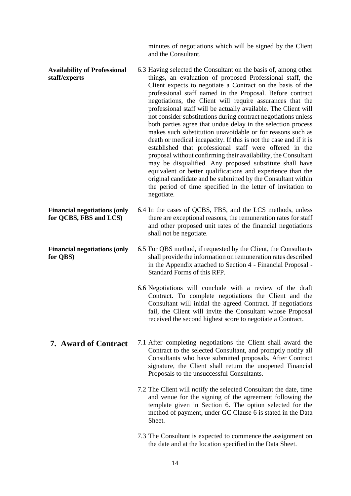minutes of negotiations which will be signed by the Client and the Consultant.

- **Availability of Professional staff/experts** 6.3 Having selected the Consultant on the basis of, among other things, an evaluation of proposed Professional staff, the Client expects to negotiate a Contract on the basis of the professional staff named in the Proposal. Before contract negotiations, the Client will require assurances that the professional staff will be actually available. The Client will not consider substitutions during contract negotiations unless both parties agree that undue delay in the selection process makes such substitution unavoidable or for reasons such as death or medical incapacity. If this is not the case and if it is established that professional staff were offered in the proposal without confirming their availability, the Consultant may be disqualified. Any proposed substitute shall have equivalent or better qualifications and experience than the original candidate and be submitted by the Consultant within the period of time specified in the letter of invitation to negotiate. **Financial negotiations (only for QCBS, FBS and LCS)** 6.4 In the cases of QCBS, FBS, and the LCS methods, unless there are exceptional reasons, the remuneration rates for staff and other proposed unit rates of the financial negotiations shall not be negotiate. **Financial negotiations (only for QBS)** 6.5 For QBS method, if requested by the Client, the Consultants shall provide the information on remuneration rates described in the Appendix attached to Section 4 - Financial Proposal -
	- 6.6 Negotiations will conclude with a review of the draft Contract. To complete negotiations the Client and the Consultant will initial the agreed Contract. If negotiations fail, the Client will invite the Consultant whose Proposal received the second highest score to negotiate a Contract.
	- **7. Award of Contract** 7.1 After completing negotiations the Client shall award the Contract to the selected Consultant, and promptly notify all Consultants who have submitted proposals. After Contract signature, the Client shall return the unopened Financial Proposals to the unsuccessful Consultants.

Standard Forms of this RFP.

- <span id="page-14-0"></span>7.2 The Client will notify the selected Consultant the date, time and venue for the signing of the agreement following the template given in Section 6. The option selected for the method of payment, under GC Clause 6 is stated in the Data Sheet.
- 7.3 The Consultant is expected to commence the assignment on the date and at the location specified in the Data Sheet.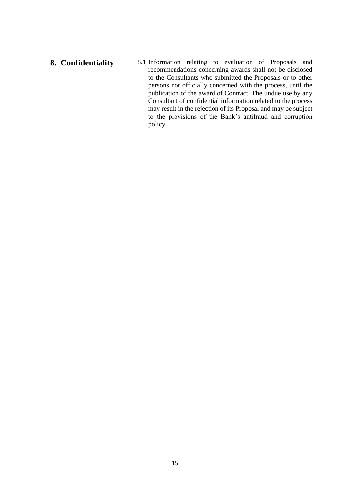<span id="page-15-0"></span>**8. Confidentiality** 8.1 Information relating to evaluation of Proposals and recommendations concerning awards shall not be disclosed to the Consultants who submitted the Proposals or to other persons not officially concerned with the process, until the publication of the award of Contract. The undue use by any Consultant of confidential information related to the process may result in the rejection of its Proposal and may be subject to the provisions of the Bank's antifraud and corruption policy.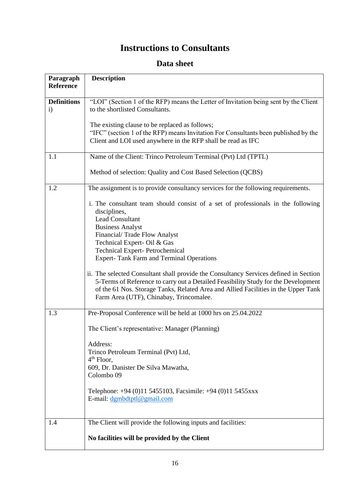## **Instructions to Consultants**

## **Data sheet**

<span id="page-16-0"></span>

| Paragraph<br><b>Reference</b>      | <b>Description</b>                                                                                                                                                                                                                                                                                                                                                                                        |
|------------------------------------|-----------------------------------------------------------------------------------------------------------------------------------------------------------------------------------------------------------------------------------------------------------------------------------------------------------------------------------------------------------------------------------------------------------|
| <b>Definitions</b><br>$\mathbf{i}$ | "LOI" (Section 1 of the RFP) means the Letter of Invitation being sent by the Client<br>to the shortlisted Consultants.                                                                                                                                                                                                                                                                                   |
|                                    | The existing clause to be replaced as follows;<br>"IFC" (section 1 of the RFP) means Invitation For Consultants been published by the<br>Client and LOI used anywhere in the RFP shall be read as IFC                                                                                                                                                                                                     |
| 1.1                                | Name of the Client: Trinco Petroleum Terminal (Pvt) Ltd (TPTL)                                                                                                                                                                                                                                                                                                                                            |
|                                    | Method of selection: Quality and Cost Based Selection (QCBS)                                                                                                                                                                                                                                                                                                                                              |
| 1.2                                | The assignment is to provide consultancy services for the following requirements.                                                                                                                                                                                                                                                                                                                         |
|                                    | i. The consultant team should consist of a set of professionals in the following<br>disciplines,<br><b>Lead Consultant</b><br><b>Business Analyst</b><br>Financial/Trade Flow Analyst<br>Technical Expert-Oil & Gas<br><b>Technical Expert-Petrochemical</b><br><b>Expert- Tank Farm and Terminal Operations</b><br>ii. The selected Consultant shall provide the Consultancy Services defined in Section |
|                                    | 5-Terms of Reference to carry out a Detailed Feasibility Study for the Development<br>of the 61 Nos. Storage Tanks, Related Area and Allied Facilities in the Upper Tank<br>Farm Area (UTF), Chinabay, Trincomalee.                                                                                                                                                                                       |
| 1.3                                | Pre-Proposal Conference will be held at 1000 hrs on 25.04.2022                                                                                                                                                                                                                                                                                                                                            |
|                                    | The Client's representative: Manager (Planning)                                                                                                                                                                                                                                                                                                                                                           |
|                                    | Address:<br>Trinco Petroleum Terminal (Pvt) Ltd,<br>$4th$ Floor,<br>609, Dr. Danister De Silva Mawatha,<br>Colombo <sub>09</sub><br>Telephone: +94 (0)11 5455103, Facsimile: +94 (0)11 5455xxx                                                                                                                                                                                                            |
|                                    | E-mail: dgmbdtptl@gmail.com                                                                                                                                                                                                                                                                                                                                                                               |
| 1.4                                | The Client will provide the following inputs and facilities:                                                                                                                                                                                                                                                                                                                                              |
|                                    | No facilities will be provided by the Client                                                                                                                                                                                                                                                                                                                                                              |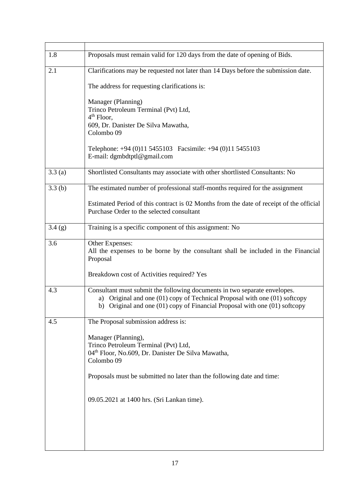| 1.8    | Proposals must remain valid for 120 days from the date of opening of Bids.                                                                                                                                                                   |
|--------|----------------------------------------------------------------------------------------------------------------------------------------------------------------------------------------------------------------------------------------------|
| 2.1    | Clarifications may be requested not later than 14 Days before the submission date.                                                                                                                                                           |
|        | The address for requesting clarifications is:                                                                                                                                                                                                |
|        | Manager (Planning)<br>Trinco Petroleum Terminal (Pvt) Ltd,                                                                                                                                                                                   |
|        | $4th$ Floor,                                                                                                                                                                                                                                 |
|        | 609, Dr. Danister De Silva Mawatha,<br>Colombo <sub>09</sub>                                                                                                                                                                                 |
|        | Telephone: +94 (0)11 5455103  Facsimile: +94 (0)11 5455103<br>E-mail: dgmbdtptl@gmail.com                                                                                                                                                    |
| 3.3(a) | Shortlisted Consultants may associate with other shortlisted Consultants: No                                                                                                                                                                 |
| 3.3(b) | The estimated number of professional staff-months required for the assignment                                                                                                                                                                |
|        | Estimated Period of this contract is 02 Months from the date of receipt of the official<br>Purchase Order to the selected consultant                                                                                                         |
| 3.4(g) | Training is a specific component of this assignment: No                                                                                                                                                                                      |
| 3.6    | Other Expenses:<br>All the expenses to be borne by the consultant shall be included in the Financial<br>Proposal                                                                                                                             |
|        | Breakdown cost of Activities required? Yes                                                                                                                                                                                                   |
| 4.3    | Consultant must submit the following documents in two separate envelopes.<br>Original and one (01) copy of Technical Proposal with one (01) softcopy<br>a)<br>b) Original and one $(01)$ copy of Financial Proposal with one $(01)$ softcopy |
| 4.5    | The Proposal submission address is:                                                                                                                                                                                                          |
|        | Manager (Planning),                                                                                                                                                                                                                          |
|        | Trinco Petroleum Terminal (Pvt) Ltd,                                                                                                                                                                                                         |
|        | 04 <sup>th</sup> Floor, No.609, Dr. Danister De Silva Mawatha,<br>Colombo 09                                                                                                                                                                 |
|        | Proposals must be submitted no later than the following date and time:                                                                                                                                                                       |
|        | 09.05.2021 at 1400 hrs. (Sri Lankan time).                                                                                                                                                                                                   |
|        |                                                                                                                                                                                                                                              |
|        |                                                                                                                                                                                                                                              |
|        |                                                                                                                                                                                                                                              |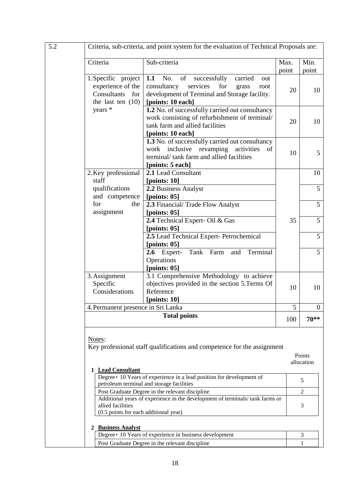| 5.2 | Criteria, sub-criteria, and point system for the evaluation of Technical Proposals are:                                                    |                                                                                                                                                                          |               |                      |  |  |
|-----|--------------------------------------------------------------------------------------------------------------------------------------------|--------------------------------------------------------------------------------------------------------------------------------------------------------------------------|---------------|----------------------|--|--|
|     | Criteria                                                                                                                                   | Sub-criteria                                                                                                                                                             | Max.<br>point | Min.<br>point        |  |  |
|     | 1. Specific project<br>experience of the<br>Consultants<br>for<br>the last ten $(10)$                                                      | 1.1<br>No. of<br>successfully<br>carried<br>out<br>consultancy<br>for<br>services<br>grass<br>root<br>development of Terminal and Storage facility.<br>[points: 10 each] | 20            | 10                   |  |  |
|     | years *                                                                                                                                    | 1.2 No. of successfully carried out consultancy<br>work consisting of refurbishment of terminal/<br>tank farm and allied facilities<br>[points: 10 each]                 | 20            | 10                   |  |  |
|     |                                                                                                                                            | 1.3 No. of successfully carried out consultancy<br>work inclusive<br>revamping<br>activities<br>of<br>terminal/tank farm and allied facilities<br>[points: 5 each]       | 10            | 5                    |  |  |
|     | 2. Key professional                                                                                                                        | 2.1 Lead Consultant                                                                                                                                                      |               | 10                   |  |  |
|     | staff<br>qualifications<br>and competence                                                                                                  | [points: $10$ ]<br>2.2 Business Analyst<br>[points: 05]                                                                                                                  |               | 5                    |  |  |
|     | for<br>the<br>assignment                                                                                                                   | 2.3 Financial/Trade Flow Analyst<br>[points: 05]                                                                                                                         |               | 5                    |  |  |
|     |                                                                                                                                            | 2.4 Technical Expert- Oil & Gas<br>[points: 05]                                                                                                                          | 35            | 5                    |  |  |
|     |                                                                                                                                            | 2.5 Lead Technical Expert- Petrochemical<br>[points: $05$ ]                                                                                                              |               | 5                    |  |  |
|     |                                                                                                                                            | Tank Farm<br>2.6<br>Expert-<br>Terminal<br>and<br>Operations<br>[points: $05$ ]                                                                                          |               | 5                    |  |  |
|     | 3. Assignment<br>Specific<br>Considerations                                                                                                | 3.1 Comprehensive Methodology to achieve<br>objectives provided in the section 5. Terms Of<br>Reference<br>[points: $10$ ]                                               | 10            | 10                   |  |  |
|     | 4. Permanent presence in Sri Lanka                                                                                                         |                                                                                                                                                                          |               | $\boldsymbol{0}$     |  |  |
|     | <b>Total points</b>                                                                                                                        |                                                                                                                                                                          |               | $70***$              |  |  |
|     | Notes:<br>Key professional staff qualifications and competence for the assignment<br>1 Lead Consultant                                     |                                                                                                                                                                          |               | Points<br>allocation |  |  |
|     | Degree+ $10$ Years of experience in a lead position for development of<br>petroleum terminal and storage facilities                        |                                                                                                                                                                          |               | 5                    |  |  |
|     | Post Graduate Degree in the relevant discipline                                                                                            |                                                                                                                                                                          |               | 2                    |  |  |
|     | Additional years of experience in the development of terminals/tank farms or<br>allied facilities<br>(0.5 points for each additional year) |                                                                                                                                                                          |               | 3                    |  |  |
|     | 2 Business Analyst                                                                                                                         | Degree+ 10 Years of experience in business development                                                                                                                   |               | 3                    |  |  |
|     | Post Graduate Degree in the relevant discipline                                                                                            |                                                                                                                                                                          |               | 1                    |  |  |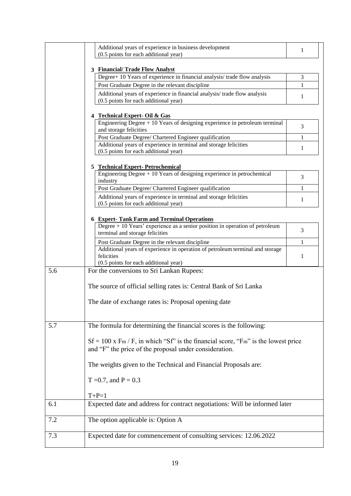|     | Additional years of experience in business development<br>(0.5 points for each additional year)                                               | 1 |
|-----|-----------------------------------------------------------------------------------------------------------------------------------------------|---|
|     | 3 Financial/Trade Flow Analyst                                                                                                                |   |
|     | Degree+ 10 Years of experience in financial analysis/ trade flow analysis                                                                     | 3 |
|     | Post Graduate Degree in the relevant discipline                                                                                               | 1 |
|     | Additional years of experience in financial analysis/ trade flow analysis<br>(0.5 points for each additional year)                            | 1 |
|     | 4 Technical Expert- Oil & Gas                                                                                                                 |   |
|     | Engineering Degree $+10$ Years of designing experience in petroleum terminal<br>and storage felicities                                        | 3 |
|     | Post Graduate Degree/ Chartered Engineer qualification                                                                                        | 1 |
|     | Additional years of experience in terminal and storage felicities<br>(0.5 points for each additional year)                                    | 1 |
|     | 5 Technical Expert- Petrochemical                                                                                                             |   |
|     | Engineering Degree $+10$ Years of designing experience in petrochemical<br>industry                                                           | 3 |
|     | Post Graduate Degree/ Chartered Engineer qualification                                                                                        | 1 |
|     | Additional years of experience in terminal and storage felicities<br>(0.5 points for each additional year)                                    | 1 |
|     | <b>6 Expert- Tank Farm and Terminal Operations</b>                                                                                            |   |
|     | Degree $+10$ Years' experience as a senior position in operation of petroleum<br>terminal and storage felicities                              | 3 |
|     | Post Graduate Degree in the relevant discipline                                                                                               | 1 |
|     | Additional years of experience in operation of petroleum terminal and storage<br>felicities                                                   | 1 |
|     | (0.5 points for each additional year)                                                                                                         |   |
| 5.6 | For the conversions to Sri Lankan Rupees:                                                                                                     |   |
|     | The source of official selling rates is: Central Bank of Sri Lanka                                                                            |   |
|     | The date of exchange rates is: Proposal opening date                                                                                          |   |
| 5.7 | The formula for determining the financial scores is the following:                                                                            |   |
|     | $Sf = 100$ x Fm / F, in which "Sf" is the financial score, "Fm" is the lowest price<br>and "F" the price of the proposal under consideration. |   |
|     | The weights given to the Technical and Financial Proposals are:                                                                               |   |
|     | $T = 0.7$ , and $P = 0.3$                                                                                                                     |   |
|     | $T+P=1$                                                                                                                                       |   |
| 6.1 | Expected date and address for contract negotiations: Will be informed later                                                                   |   |
| 7.2 | The option applicable is: Option A                                                                                                            |   |
| 7.3 | Expected date for commencement of consulting services: 12.06.2022                                                                             |   |
|     |                                                                                                                                               |   |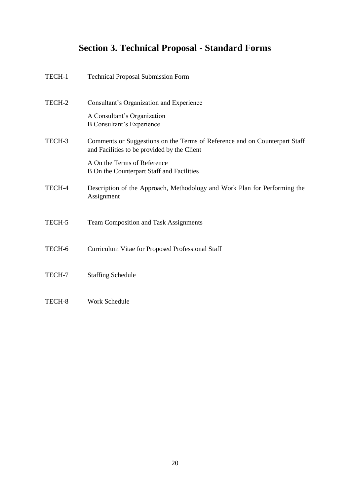# **Section 3. Technical Proposal - Standard Forms**

<span id="page-20-0"></span>

| TECH-1 | <b>Technical Proposal Submission Form</b>                                                                                 |
|--------|---------------------------------------------------------------------------------------------------------------------------|
| TECH-2 | Consultant's Organization and Experience                                                                                  |
|        | A Consultant's Organization<br><b>B</b> Consultant's Experience                                                           |
| TECH-3 | Comments or Suggestions on the Terms of Reference and on Counterpart Staff<br>and Facilities to be provided by the Client |
|        | A On the Terms of Reference<br>B On the Counterpart Staff and Facilities                                                  |
| TECH-4 | Description of the Approach, Methodology and Work Plan for Performing the<br>Assignment                                   |
| TECH-5 | <b>Team Composition and Task Assignments</b>                                                                              |
| TECH-6 | Curriculum Vitae for Proposed Professional Staff                                                                          |
| TECH-7 | <b>Staffing Schedule</b>                                                                                                  |
| TECH-8 | <b>Work Schedule</b>                                                                                                      |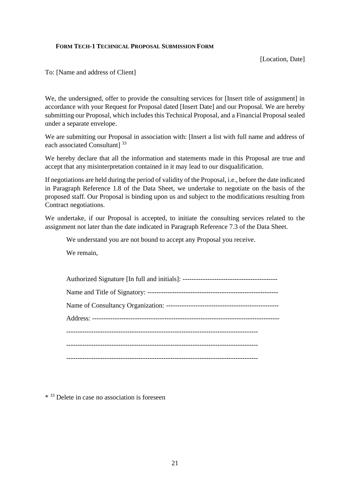#### <span id="page-21-0"></span>**FORM TECH-1 TECHNICAL PROPOSAL SUBMISSION FORM**

[Location, Date]

To: [Name and address of Client]

We, the undersigned, offer to provide the consulting services for [Insert title of assignment] in accordance with your Request for Proposal dated [Insert Date] and our Proposal. We are hereby submitting our Proposal, which includes this Technical Proposal, and a Financial Proposal sealed under a separate envelope.

We are submitting our Proposal in association with: [Insert a list with full name and address of each associated Consultant]<sup>33</sup>

We hereby declare that all the information and statements made in this Proposal are true and accept that any misinterpretation contained in it may lead to our disqualification.

If negotiations are held during the period of validity of the Proposal, i.e., before the date indicated in Paragraph Reference 1.8 of the Data Sheet, we undertake to negotiate on the basis of the proposed staff. Our Proposal is binding upon us and subject to the modifications resulting from Contract negotiations.

We undertake, if our Proposal is accepted, to initiate the consulting services related to the assignment not later than the date indicated in Paragraph Reference 7.3 of the Data Sheet.

We understand you are not bound to accept any Proposal you receive.

We remain,

\* 33 Delete in case no association is foreseen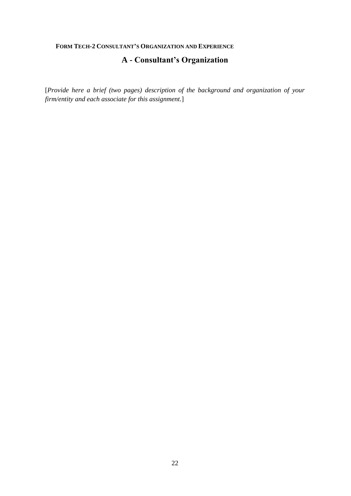#### <span id="page-22-0"></span>**FORM TECH-2 CONSULTANT'S ORGANIZATION AND EXPERIENCE**

## **A - Consultant's Organization**

[*Provide here a brief (two pages) description of the background and organization of your firm/entity and each associate for this assignment.*]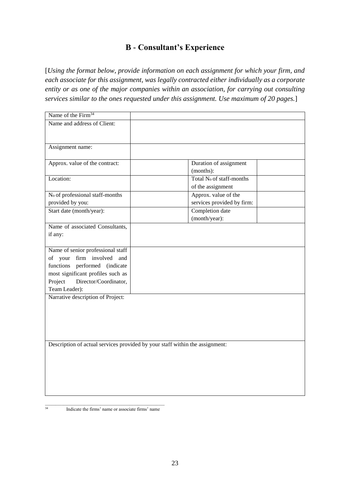## **B - Consultant's Experience**

[*Using the format below, provide information on each assignment for which your firm, and each associate for this assignment, was legally contracted either individually as a corporate entity or as one of the major companies within an association, for carrying out consulting services similar to the ones requested under this assignment. Use maximum of 20 pages.*]

| Name and address of Client:<br>Assignment name:<br>Duration of assignment<br>Approx. value of the contract:<br>(months):<br>Total N <sub>o</sub> of staff-months<br>Location:<br>of the assignment<br>No of professional staff-months<br>Approx. value of the<br>services provided by firm:<br>provided by you:<br>Completion date<br>Start date (month/year):<br>(month/year):<br>Name of associated Consultants,<br>if any:<br>Name of senior professional staff<br>firm involved and<br>of your<br>functions performed (indicate<br>most significant profiles such as<br>Project<br>Director/Coordinator,<br>Team Leader):<br>Narrative description of Project:<br>Description of actual services provided by your staff within the assignment: | Name of the Firm <sup>34</sup> |  |  |
|----------------------------------------------------------------------------------------------------------------------------------------------------------------------------------------------------------------------------------------------------------------------------------------------------------------------------------------------------------------------------------------------------------------------------------------------------------------------------------------------------------------------------------------------------------------------------------------------------------------------------------------------------------------------------------------------------------------------------------------------------|--------------------------------|--|--|
|                                                                                                                                                                                                                                                                                                                                                                                                                                                                                                                                                                                                                                                                                                                                                    |                                |  |  |
|                                                                                                                                                                                                                                                                                                                                                                                                                                                                                                                                                                                                                                                                                                                                                    |                                |  |  |
|                                                                                                                                                                                                                                                                                                                                                                                                                                                                                                                                                                                                                                                                                                                                                    |                                |  |  |
|                                                                                                                                                                                                                                                                                                                                                                                                                                                                                                                                                                                                                                                                                                                                                    |                                |  |  |
|                                                                                                                                                                                                                                                                                                                                                                                                                                                                                                                                                                                                                                                                                                                                                    |                                |  |  |
|                                                                                                                                                                                                                                                                                                                                                                                                                                                                                                                                                                                                                                                                                                                                                    |                                |  |  |
|                                                                                                                                                                                                                                                                                                                                                                                                                                                                                                                                                                                                                                                                                                                                                    |                                |  |  |
|                                                                                                                                                                                                                                                                                                                                                                                                                                                                                                                                                                                                                                                                                                                                                    |                                |  |  |
|                                                                                                                                                                                                                                                                                                                                                                                                                                                                                                                                                                                                                                                                                                                                                    |                                |  |  |
|                                                                                                                                                                                                                                                                                                                                                                                                                                                                                                                                                                                                                                                                                                                                                    |                                |  |  |
|                                                                                                                                                                                                                                                                                                                                                                                                                                                                                                                                                                                                                                                                                                                                                    |                                |  |  |
|                                                                                                                                                                                                                                                                                                                                                                                                                                                                                                                                                                                                                                                                                                                                                    |                                |  |  |
|                                                                                                                                                                                                                                                                                                                                                                                                                                                                                                                                                                                                                                                                                                                                                    |                                |  |  |
|                                                                                                                                                                                                                                                                                                                                                                                                                                                                                                                                                                                                                                                                                                                                                    |                                |  |  |
|                                                                                                                                                                                                                                                                                                                                                                                                                                                                                                                                                                                                                                                                                                                                                    |                                |  |  |
|                                                                                                                                                                                                                                                                                                                                                                                                                                                                                                                                                                                                                                                                                                                                                    |                                |  |  |
|                                                                                                                                                                                                                                                                                                                                                                                                                                                                                                                                                                                                                                                                                                                                                    |                                |  |  |
|                                                                                                                                                                                                                                                                                                                                                                                                                                                                                                                                                                                                                                                                                                                                                    |                                |  |  |
|                                                                                                                                                                                                                                                                                                                                                                                                                                                                                                                                                                                                                                                                                                                                                    |                                |  |  |
|                                                                                                                                                                                                                                                                                                                                                                                                                                                                                                                                                                                                                                                                                                                                                    |                                |  |  |
|                                                                                                                                                                                                                                                                                                                                                                                                                                                                                                                                                                                                                                                                                                                                                    |                                |  |  |
|                                                                                                                                                                                                                                                                                                                                                                                                                                                                                                                                                                                                                                                                                                                                                    |                                |  |  |
|                                                                                                                                                                                                                                                                                                                                                                                                                                                                                                                                                                                                                                                                                                                                                    |                                |  |  |
|                                                                                                                                                                                                                                                                                                                                                                                                                                                                                                                                                                                                                                                                                                                                                    |                                |  |  |
|                                                                                                                                                                                                                                                                                                                                                                                                                                                                                                                                                                                                                                                                                                                                                    |                                |  |  |
|                                                                                                                                                                                                                                                                                                                                                                                                                                                                                                                                                                                                                                                                                                                                                    |                                |  |  |
|                                                                                                                                                                                                                                                                                                                                                                                                                                                                                                                                                                                                                                                                                                                                                    |                                |  |  |
|                                                                                                                                                                                                                                                                                                                                                                                                                                                                                                                                                                                                                                                                                                                                                    |                                |  |  |
|                                                                                                                                                                                                                                                                                                                                                                                                                                                                                                                                                                                                                                                                                                                                                    |                                |  |  |
|                                                                                                                                                                                                                                                                                                                                                                                                                                                                                                                                                                                                                                                                                                                                                    |                                |  |  |
|                                                                                                                                                                                                                                                                                                                                                                                                                                                                                                                                                                                                                                                                                                                                                    |                                |  |  |
|                                                                                                                                                                                                                                                                                                                                                                                                                                                                                                                                                                                                                                                                                                                                                    |                                |  |  |
|                                                                                                                                                                                                                                                                                                                                                                                                                                                                                                                                                                                                                                                                                                                                                    |                                |  |  |
|                                                                                                                                                                                                                                                                                                                                                                                                                                                                                                                                                                                                                                                                                                                                                    |                                |  |  |

\_\_\_\_\_\_\_\_\_\_\_\_\_\_\_\_\_\_\_\_\_\_\_\_\_\_\_\_\_\_\_\_\_\_\_\_\_\_\_\_\_\_\_\_\_\_\_\_\_\_\_\_\_\_\_\_\_\_ <sup>34</sup> Indicate the firms' name or associate firms' name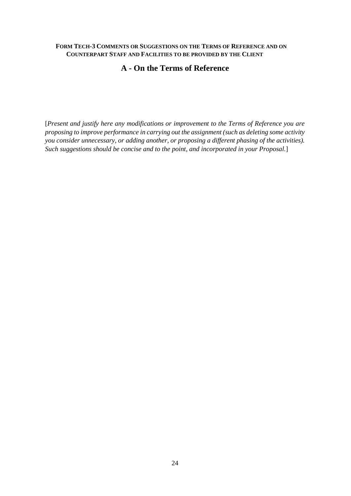#### <span id="page-24-0"></span>**FORM TECH-3 COMMENTS OR SUGGESTIONS ON THE TERMS OF REFERENCE AND ON COUNTERPART STAFF AND FACILITIES TO BE PROVIDED BY THE CLIENT**

## **A - On the Terms of Reference**

[*Present and justify here any modifications or improvement to the Terms of Reference you are proposing to improve performance in carrying out the assignment (such as deleting some activity you consider unnecessary, or adding another, or proposing a different phasing of the activities). Such suggestions should be concise and to the point, and incorporated in your Proposal.*]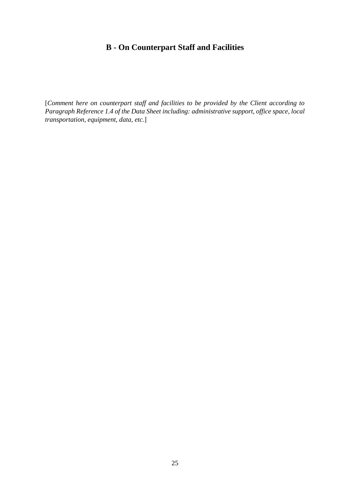## **B - On Counterpart Staff and Facilities**

[*Comment here on counterpart staff and facilities to be provided by the Client according to Paragraph Reference 1.4 of the Data Sheet including: administrative support, office space, local transportation, equipment, data, etc.*]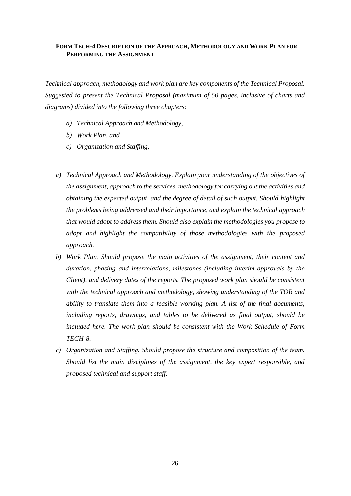#### <span id="page-26-0"></span>**FORM TECH-4 DESCRIPTION OF THE APPROACH, METHODOLOGY AND WORK PLAN FOR PERFORMING THE ASSIGNMENT**

*Technical approach, methodology and work plan are key components of the Technical Proposal. Suggested to present the Technical Proposal (maximum of 50 pages, inclusive of charts and diagrams) divided into the following three chapters:*

- *a) Technical Approach and Methodology,*
- *b) Work Plan, and*
- *c) Organization and Staffing,*
- *a) Technical Approach and Methodology. Explain your understanding of the objectives of the assignment, approach to the services, methodology for carrying out the activities and obtaining the expected output, and the degree of detail of such output. Should highlight the problems being addressed and their importance, and explain the technical approach that would adopt to address them. Should also explain the methodologies you propose to adopt and highlight the compatibility of those methodologies with the proposed approach.*
- *b) Work Plan. Should propose the main activities of the assignment, their content and duration, phasing and interrelations, milestones (including interim approvals by the Client), and delivery dates of the reports. The proposed work plan should be consistent with the technical approach and methodology, showing understanding of the TOR and ability to translate them into a feasible working plan. A list of the final documents, including reports, drawings, and tables to be delivered as final output, should be included here. The work plan should be consistent with the Work Schedule of Form TECH-8.*
- *c) Organization and Staffing. Should propose the structure and composition of the team. Should list the main disciplines of the assignment, the key expert responsible, and proposed technical and support staff.*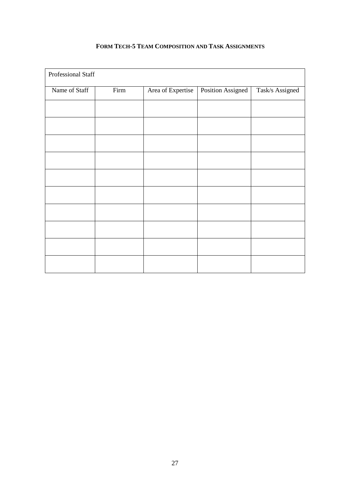## **FORM TECH-5 TEAM COMPOSITION AND TASK ASSIGNMENTS**

<span id="page-27-0"></span>

| Professional Staff |      |                   |                          |                 |
|--------------------|------|-------------------|--------------------------|-----------------|
| Name of Staff      | Firm | Area of Expertise | <b>Position Assigned</b> | Task/s Assigned |
|                    |      |                   |                          |                 |
|                    |      |                   |                          |                 |
|                    |      |                   |                          |                 |
|                    |      |                   |                          |                 |
|                    |      |                   |                          |                 |
|                    |      |                   |                          |                 |
|                    |      |                   |                          |                 |
|                    |      |                   |                          |                 |
|                    |      |                   |                          |                 |
|                    |      |                   |                          |                 |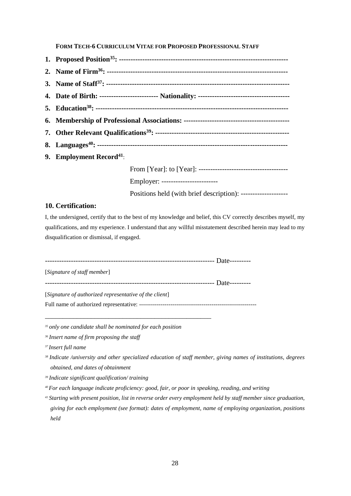<span id="page-28-0"></span>**FORM TECH-6 CURRICULUM VITAE FOR PROPOSED PROFESSIONAL STAFF**

| 9. Employment Record <sup>41</sup> : |
|--------------------------------------|
|                                      |
| Employer: ------------------------   |
|                                      |

Positions held (with brief description): --------------------

#### **10. Certification:**

I, the undersigned, certify that to the best of my knowledge and belief, this CV correctly describes myself, my qualifications, and my experience. I understand that any willful misstatement described herein may lead to my disqualification or dismissal, if engaged.

------------------------------------------------------------------------ Date---------

[*Signature of staff member*]

------------------------------------------------------------------------ Date---------

[*Signature of authorized representative of the client*]

Full name of authorized representative: ------------------------------------------------------------

*<sup>35</sup> only one candidate shall be nominated for each position*

\_\_\_\_\_\_\_\_\_\_\_\_\_\_\_\_\_\_\_\_\_\_\_\_\_\_\_\_\_\_\_\_\_\_\_\_\_\_\_\_\_\_\_\_\_\_\_

*<sup>36</sup> Insert name of firm proposing the staff*

*<sup>37</sup>Insert full name*

- *<sup>38</sup> Indicate /university and other specialized education of staff member, giving names of institutions, degrees obtained, and dates of obtainment*
- *<sup>39</sup> Indicate significant qualification/ training*
- *<sup>40</sup>For each language indicate proficiency: good, fair, or poor in speaking, reading, and writing*
- *<sup>41</sup> Starting with present position, list in reverse order every employment held by staff member since graduation, giving for each employment (see format): dates of employment, name of employing organization, positions held*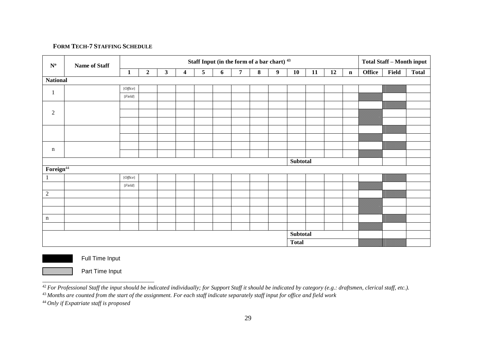#### **FORM TECH-7 STAFFING SCHEDULE**

| $\mathbf{N}^{\mathbf{o}}$        | <b>Name of Staff</b> |                                                                                                                                                                                                                                                                                                                                                                                                                                                                                                                                                                        |                  |              |                         |   |   |                | Staff Input (in the form of a bar chart) <sup>43</sup> |                  |                 |    |    |             |               | <b>Total Staff-Month input</b> |              |
|----------------------------------|----------------------|------------------------------------------------------------------------------------------------------------------------------------------------------------------------------------------------------------------------------------------------------------------------------------------------------------------------------------------------------------------------------------------------------------------------------------------------------------------------------------------------------------------------------------------------------------------------|------------------|--------------|-------------------------|---|---|----------------|--------------------------------------------------------|------------------|-----------------|----|----|-------------|---------------|--------------------------------|--------------|
|                                  |                      | $\mathbf{1}$                                                                                                                                                                                                                                                                                                                                                                                                                                                                                                                                                           | $\boldsymbol{2}$ | $\mathbf{3}$ | $\overline{\mathbf{4}}$ | 5 | 6 | $\overline{7}$ | 8                                                      | $\boldsymbol{9}$ | 10              | 11 | 12 | $\mathbf n$ | <b>Office</b> | Field                          | <b>Total</b> |
| <b>National</b>                  |                      |                                                                                                                                                                                                                                                                                                                                                                                                                                                                                                                                                                        |                  |              |                         |   |   |                |                                                        |                  |                 |    |    |             |               |                                |              |
| $\mathbf{1}$                     |                      | [Office]                                                                                                                                                                                                                                                                                                                                                                                                                                                                                                                                                               |                  |              |                         |   |   |                |                                                        |                  |                 |    |    |             |               |                                |              |
|                                  |                      |                                                                                                                                                                                                                                                                                                                                                                                                                                                                                                                                                                        |                  |              |                         |   |   |                |                                                        |                  |                 |    |    |             |               |                                |              |
|                                  |                      |                                                                                                                                                                                                                                                                                                                                                                                                                                                                                                                                                                        |                  |              |                         |   |   |                |                                                        |                  |                 |    |    |             |               |                                |              |
| $\mathfrak{2}$                   |                      |                                                                                                                                                                                                                                                                                                                                                                                                                                                                                                                                                                        |                  |              |                         |   |   |                |                                                        |                  |                 |    |    |             |               |                                |              |
|                                  |                      |                                                                                                                                                                                                                                                                                                                                                                                                                                                                                                                                                                        |                  |              |                         |   |   |                |                                                        |                  |                 |    |    |             |               |                                |              |
|                                  |                      |                                                                                                                                                                                                                                                                                                                                                                                                                                                                                                                                                                        |                  |              |                         |   |   |                |                                                        |                  |                 |    |    |             |               |                                |              |
|                                  |                      |                                                                                                                                                                                                                                                                                                                                                                                                                                                                                                                                                                        |                  |              |                         |   |   |                |                                                        |                  |                 |    |    |             |               |                                |              |
| $\mathbf n$                      |                      |                                                                                                                                                                                                                                                                                                                                                                                                                                                                                                                                                                        |                  |              |                         |   |   |                |                                                        |                  |                 |    |    |             |               |                                |              |
|                                  |                      |                                                                                                                                                                                                                                                                                                                                                                                                                                                                                                                                                                        |                  |              |                         |   |   |                |                                                        |                  |                 |    |    |             |               |                                |              |
|                                  |                      |                                                                                                                                                                                                                                                                                                                                                                                                                                                                                                                                                                        |                  |              |                         |   |   |                |                                                        |                  | <b>Subtotal</b> |    |    |             |               |                                |              |
| $\overline{\text{Foreign}^{44}}$ |                      |                                                                                                                                                                                                                                                                                                                                                                                                                                                                                                                                                                        |                  |              |                         |   |   |                |                                                        |                  |                 |    |    |             |               |                                |              |
| $\mathbf{1}$                     |                      | $[Office]% \includegraphics[width=0.9\columnwidth]{figures/fig_10.pdf} \caption{The 3D (top) of the $2D$-error of the estimators in the $2D$-error of the estimators in the $2D$-error of the estimators in the $2D$-error of the estimators in the $2D$-error of the $2D$-error of the $2D$-error of the $2D$-error of the $2D$-error of the $2D$-error of the $2D$-error of the $2D$-error of the $2D$-error of the $2D$-error of the $2D$-error of the $2D$-error of the $2D$-error of the $2D$-error of the $2D$-error of the $2D$-error of the $2D$-error of the$ |                  |              |                         |   |   |                |                                                        |                  |                 |    |    |             |               |                                |              |
|                                  |                      | [Field]                                                                                                                                                                                                                                                                                                                                                                                                                                                                                                                                                                |                  |              |                         |   |   |                |                                                        |                  |                 |    |    |             |               |                                |              |
| $\overline{2}$                   |                      |                                                                                                                                                                                                                                                                                                                                                                                                                                                                                                                                                                        |                  |              |                         |   |   |                |                                                        |                  |                 |    |    |             |               |                                |              |
|                                  |                      |                                                                                                                                                                                                                                                                                                                                                                                                                                                                                                                                                                        |                  |              |                         |   |   |                |                                                        |                  |                 |    |    |             | ▒             |                                |              |
|                                  |                      |                                                                                                                                                                                                                                                                                                                                                                                                                                                                                                                                                                        |                  |              |                         |   |   |                |                                                        |                  |                 |    |    |             |               |                                |              |
| $\mathbf n$                      |                      |                                                                                                                                                                                                                                                                                                                                                                                                                                                                                                                                                                        |                  |              |                         |   |   |                |                                                        |                  |                 |    |    |             |               |                                |              |
|                                  |                      |                                                                                                                                                                                                                                                                                                                                                                                                                                                                                                                                                                        |                  |              |                         |   |   |                |                                                        |                  |                 |    |    |             |               |                                |              |
|                                  |                      |                                                                                                                                                                                                                                                                                                                                                                                                                                                                                                                                                                        |                  |              |                         |   |   |                |                                                        |                  | Subtotal        |    |    |             |               |                                |              |
|                                  |                      |                                                                                                                                                                                                                                                                                                                                                                                                                                                                                                                                                                        |                  |              |                         |   |   |                |                                                        |                  | <b>Total</b>    |    |    |             |               |                                |              |

<span id="page-29-0"></span>

Full Time Input

Part Time Input \_\_\_\_\_\_\_\_\_\_\_\_\_\_\_\_\_\_\_\_\_\_\_\_\_\_\_\_\_\_\_\_\_\_\_\_\_\_

<sup>&</sup>lt;sup>42</sup> For Professional Staff the input should be indicated individually; for Support Staff it should be indicated by category (e.g.: draftsmen, clerical staff, etc.).

<sup>43</sup>*Months are counted from the start of the assignment. For each staff indicate separately staff input for office and field work*

<sup>44</sup> *Only if Expatriate staff is proposed*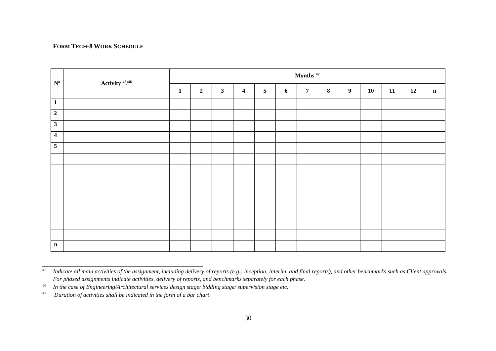#### **FORM TECH-8 WORK SCHEDULE**

|                           |                  |              | Months $^{47}$   |              |                         |   |   |                |   |                  |    |    |    |             |
|---------------------------|------------------|--------------|------------------|--------------|-------------------------|---|---|----------------|---|------------------|----|----|----|-------------|
| $\mathbf{N}^{\mathrm{o}}$ | Activity $45/46$ | $\mathbf{1}$ | $\boldsymbol{2}$ | $\mathbf{3}$ | $\overline{\mathbf{4}}$ | 5 | 6 | $\overline{7}$ | 8 | $\boldsymbol{9}$ | 10 | 11 | 12 | $\mathbf n$ |
| $\mathbf{1}$              |                  |              |                  |              |                         |   |   |                |   |                  |    |    |    |             |
| $\overline{2}$            |                  |              |                  |              |                         |   |   |                |   |                  |    |    |    |             |
| $\mathbf{3}$              |                  |              |                  |              |                         |   |   |                |   |                  |    |    |    |             |
| $\overline{\mathbf{4}}$   |                  |              |                  |              |                         |   |   |                |   |                  |    |    |    |             |
| $\overline{5}$            |                  |              |                  |              |                         |   |   |                |   |                  |    |    |    |             |
|                           |                  |              |                  |              |                         |   |   |                |   |                  |    |    |    |             |
|                           |                  |              |                  |              |                         |   |   |                |   |                  |    |    |    |             |
|                           |                  |              |                  |              |                         |   |   |                |   |                  |    |    |    |             |
|                           |                  |              |                  |              |                         |   |   |                |   |                  |    |    |    |             |
|                           |                  |              |                  |              |                         |   |   |                |   |                  |    |    |    |             |
|                           |                  |              |                  |              |                         |   |   |                |   |                  |    |    |    |             |
|                           |                  |              |                  |              |                         |   |   |                |   |                  |    |    |    |             |
|                           |                  |              |                  |              |                         |   |   |                |   |                  |    |    |    |             |
| $\mathbf n$               |                  |              |                  |              |                         |   |   |                |   |                  |    |    |    |             |

<sup>&</sup>lt;sup>45</sup> Indicate all main activities of the assignment, including delivery of reports (e.g.: inception, interim, and final reports), and other benchmarks such as Client approvals. *For phased assignments indicate activities, delivery of reports, and benchmarks separately for each phase*.

<span id="page-30-0"></span>\_\_\_\_\_\_\_\_\_\_\_\_\_\_\_\_\_\_\_\_\_\_\_\_\_\_\_\_\_\_\_\_\_\_\_\_\_\_\_\_\_\_\_\_\_\_\_\_\_\_\_\_\_\_\_\_\_\_\_\_\_\_\_\_\_\_\_\_\_\_\_\_\_\_\_\_\_\_-

<sup>46</sup> *In the case of Engineering/Architectural services design stage/ bidding stage/ supervision stage etc.*

<sup>47</sup> *Duration of activities shall be indicated in the form of a bar chart*.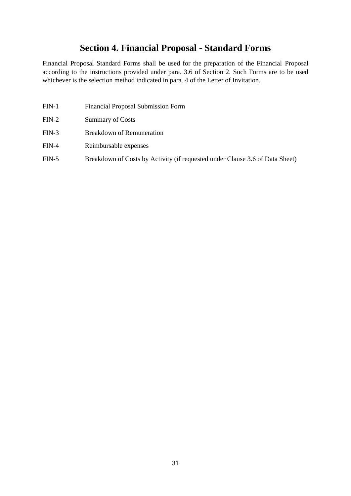## **Section 4. Financial Proposal - Standard Forms**

<span id="page-31-0"></span>Financial Proposal Standard Forms shall be used for the preparation of the Financial Proposal according to the instructions provided under para. 3.6 of Section 2. Such Forms are to be used whichever is the selection method indicated in para. 4 of the Letter of Invitation.

| $FIN-1$        | <b>Financial Proposal Submission Form</b>                                                    |
|----------------|----------------------------------------------------------------------------------------------|
| $FIN-2$        | <b>Summary of Costs</b>                                                                      |
| $FIN-3$        | <b>Breakdown of Remuneration</b>                                                             |
| $FIN-4$        | Reimbursable expenses                                                                        |
| $\blacksquare$ | $\sim$ $\sim$ $\sim$ $\sim$ $\sim$ $\sim$ $\sim$ $\sim$<br>$\sim$ 1 $\sim$ 1 $\sim$ $\sim$ 1 |

FIN-5 Breakdown of Costs by Activity (if requested under Clause 3.6 of Data Sheet)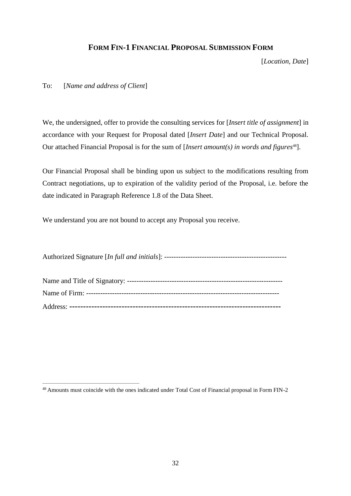## **FORM FIN-1 FINANCIAL PROPOSAL SUBMISSION FORM**

[*Location, Date*]

<span id="page-32-0"></span>To: [*Name and address of Client*]

 $\overline{\phantom{a}}$  , and the set of the set of the set of the set of the set of the set of the set of the set of the set of the set of the set of the set of the set of the set of the set of the set of the set of the set of the s

We, the undersigned, offer to provide the consulting services for [*Insert title of assignment*] in accordance with your Request for Proposal dated [*Insert Date*] and our Technical Proposal. Our attached Financial Proposal is for the sum of [*Insert amount(s) in words and figures*48].

Our Financial Proposal shall be binding upon us subject to the modifications resulting from Contract negotiations, up to expiration of the validity period of the Proposal, i.e. before the date indicated in Paragraph Reference 1.8 of the Data Sheet.

We understand you are not bound to accept any Proposal you receive.

Authorized Signature [*In full and initials*]: ----------------------------------------------------

Name and Title of Signatory: ------------------------------------------------------------------ Name of Firm: ---------------------------------------------------------------------------------- Address: **-----------------------------------------------------------------------------**

<sup>48</sup> Amounts must coincide with the ones indicated under Total Cost of Financial proposal in Form FIN-2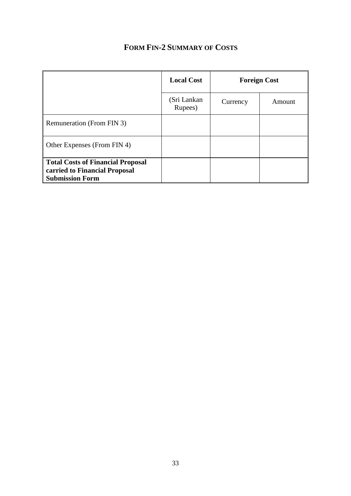## **FORM FIN-2 SUMMARY OF COSTS**

<span id="page-33-0"></span>

|                                                                                                     | <b>Local Cost</b>      |          | <b>Foreign Cost</b> |
|-----------------------------------------------------------------------------------------------------|------------------------|----------|---------------------|
|                                                                                                     | (Sri Lankan<br>Rupees) | Currency | Amount              |
| Remuneration (From FIN 3)                                                                           |                        |          |                     |
| Other Expenses (From FIN 4)                                                                         |                        |          |                     |
| <b>Total Costs of Financial Proposal</b><br>carried to Financial Proposal<br><b>Submission Form</b> |                        |          |                     |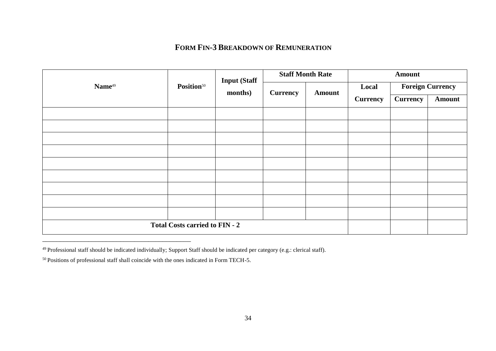## **FORM FIN-3 BREAKDOWN OF REMUNERATION**

|                                       |                        | <b>Input (Staff</b><br>months) |                 | <b>Staff Month Rate</b> | Amount          |                         |               |  |
|---------------------------------------|------------------------|--------------------------------|-----------------|-------------------------|-----------------|-------------------------|---------------|--|
| Name <sup>49</sup>                    | Position <sup>50</sup> |                                | <b>Currency</b> | <b>Amount</b>           | Local           | <b>Foreign Currency</b> |               |  |
|                                       |                        |                                |                 |                         | <b>Currency</b> | <b>Currency</b>         | <b>Amount</b> |  |
|                                       |                        |                                |                 |                         |                 |                         |               |  |
|                                       |                        |                                |                 |                         |                 |                         |               |  |
|                                       |                        |                                |                 |                         |                 |                         |               |  |
|                                       |                        |                                |                 |                         |                 |                         |               |  |
|                                       |                        |                                |                 |                         |                 |                         |               |  |
|                                       |                        |                                |                 |                         |                 |                         |               |  |
|                                       |                        |                                |                 |                         |                 |                         |               |  |
|                                       |                        |                                |                 |                         |                 |                         |               |  |
|                                       |                        |                                |                 |                         |                 |                         |               |  |
| <b>Total Costs carried to FIN - 2</b> |                        |                                |                 |                         |                 |                         |               |  |

<sup>49</sup> Professional staff should be indicated individually; Support Staff should be indicated per category (e.g.: clerical staff).

<span id="page-34-0"></span>\_\_\_\_\_\_\_\_\_\_\_\_\_\_\_\_\_\_\_\_\_\_\_\_\_\_\_\_\_\_\_\_\_\_\_\_\_\_\_\_\_\_

<sup>50</sup> Positions of professional staff shall coincide with the ones indicated in Form TECH-5.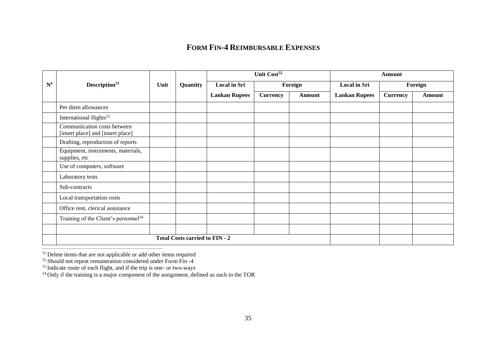## **FORM FIN-4 REIMBURSABLE EXPENSES**

|             |                                                                  |                                                    |                                       |                      | Unit Cost <sup>52</sup> | Amount  |                      |                 |        |
|-------------|------------------------------------------------------------------|----------------------------------------------------|---------------------------------------|----------------------|-------------------------|---------|----------------------|-----------------|--------|
| $N^{\rm o}$ | Description <sup>51</sup>                                        | Foreign<br>Unit<br><b>Quantity</b><br>Local in Sri |                                       | <b>Local in Sri</b>  |                         | Foreign |                      |                 |        |
|             |                                                                  |                                                    |                                       | <b>Lankan Rupees</b> | <b>Currency</b>         | Amount  | <b>Lankan Rupees</b> | <b>Currency</b> | Amount |
|             | Per diem allowances                                              |                                                    |                                       |                      |                         |         |                      |                 |        |
|             | International flights <sup>53</sup>                              |                                                    |                                       |                      |                         |         |                      |                 |        |
|             | Communication costs between<br>[insert place] and [insert place] |                                                    |                                       |                      |                         |         |                      |                 |        |
|             | Drafting, reproduction of reports                                |                                                    |                                       |                      |                         |         |                      |                 |        |
|             | Equipment, instruments, materials,<br>supplies, etc              |                                                    |                                       |                      |                         |         |                      |                 |        |
|             | Use of computers, software                                       |                                                    |                                       |                      |                         |         |                      |                 |        |
|             | Laboratory tests                                                 |                                                    |                                       |                      |                         |         |                      |                 |        |
|             | Sub-contracts                                                    |                                                    |                                       |                      |                         |         |                      |                 |        |
|             | Local transportation costs                                       |                                                    |                                       |                      |                         |         |                      |                 |        |
|             | Office rent, clerical assistance                                 |                                                    |                                       |                      |                         |         |                      |                 |        |
|             | Training of the Client's personnel <sup>54</sup>                 |                                                    |                                       |                      |                         |         |                      |                 |        |
|             |                                                                  |                                                    |                                       |                      |                         |         |                      |                 |        |
|             |                                                                  |                                                    | <b>Total Costs carried to FIN - 2</b> |                      |                         |         |                      |                 |        |

<sup>51</sup> Delete items that are not applicable or add other items required

<span id="page-35-0"></span>\_\_\_\_\_\_\_\_\_\_\_\_\_\_\_\_\_\_\_\_\_\_\_\_\_\_\_\_\_\_\_\_\_\_\_\_\_\_\_\_\_\_\_\_\_\_\_\_\_\_\_\_\_\_\_\_\_\_\_\_\_\_\_\_\_\_\_\_

 $52$  Should not repeat remuneration considered under Form Fin  $-4$ 

 $53$  Indicate route of each flight, and if the trip is one- or two-ways

<sup>54</sup> Only if the training is a major component of the assignment, defined as such in the TOR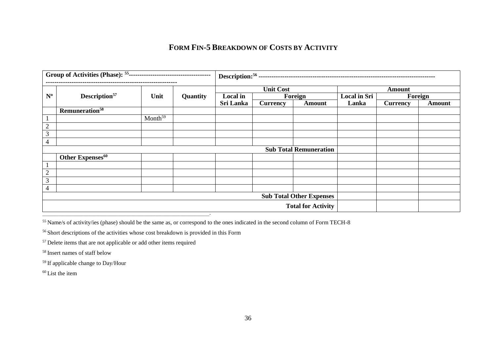## **FORM FIN-5 BREAKDOWN OF COSTS BY ACTIVITY**

|                |                              |                     |          | <b>Unit Cost</b> |                               | Amount                          |                     |                 |         |
|----------------|------------------------------|---------------------|----------|------------------|-------------------------------|---------------------------------|---------------------|-----------------|---------|
| $N^{\rm o}$    | Description <sup>57</sup>    | Unit                | Quantity | Local in         |                               | Foreign                         | <b>Local in Sri</b> |                 | Foreign |
|                |                              |                     |          | Sri Lanka        | <b>Currency</b>               | Amount                          | Lanka               | <b>Currency</b> | Amount  |
|                | Remuneration <sup>58</sup>   |                     |          |                  |                               |                                 |                     |                 |         |
|                |                              | Month <sup>59</sup> |          |                  |                               |                                 |                     |                 |         |
| $\overline{2}$ |                              |                     |          |                  |                               |                                 |                     |                 |         |
| 3              |                              |                     |          |                  |                               |                                 |                     |                 |         |
| 4              |                              |                     |          |                  |                               |                                 |                     |                 |         |
|                |                              |                     |          |                  | <b>Sub Total Remuneration</b> |                                 |                     |                 |         |
|                | Other Expenses <sup>60</sup> |                     |          |                  |                               |                                 |                     |                 |         |
|                |                              |                     |          |                  |                               |                                 |                     |                 |         |
| $\overline{2}$ |                              |                     |          |                  |                               |                                 |                     |                 |         |
| 3              |                              |                     |          |                  |                               |                                 |                     |                 |         |
| 4              |                              |                     |          |                  |                               |                                 |                     |                 |         |
|                |                              |                     |          |                  |                               | <b>Sub Total Other Expenses</b> |                     |                 |         |
|                |                              |                     |          |                  |                               | <b>Total for Activity</b>       |                     |                 |         |
|                |                              |                     |          |                  |                               |                                 |                     |                 |         |

<span id="page-36-0"></span><sup>55</sup> Name/s of activity/ies (phase) should be the same as, or correspond to the ones indicated in the second column of Form TECH-8

<sup>56</sup> Short descriptions of the activities whose cost breakdown is provided in this Form

<sup>57</sup> Delete items that are not applicable or add other items required

<sup>58</sup> Insert names of staff below

<sup>59</sup> If applicable change to Day/Hour

 $60$  List the item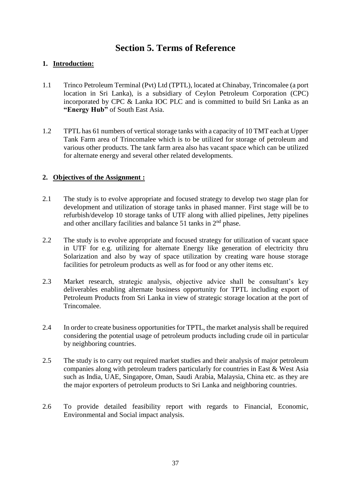## **Section 5. Terms of Reference**

## <span id="page-37-0"></span>**1. Introduction:**

- 1.1 Trinco Petroleum Terminal (Pvt) Ltd (TPTL), located at Chinabay, Trincomalee (a port location in Sri Lanka), is a subsidiary of Ceylon Petroleum Corporation (CPC) incorporated by CPC & Lanka IOC PLC and is committed to build Sri Lanka as an **"Energy Hub"** of South East Asia.
- 1.2 TPTL has 61 numbers of vertical storage tanks with a capacity of 10 TMT each at Upper Tank Farm area of Trincomalee which is to be utilized for storage of petroleum and various other products. The tank farm area also has vacant space which can be utilized for alternate energy and several other related developments.

## **2. Objectives of the Assignment :**

- 2.1 The study is to evolve appropriate and focused strategy to develop two stage plan for development and utilization of storage tanks in phased manner. First stage will be to refurbish/develop 10 storage tanks of UTF along with allied pipelines, Jetty pipelines and other ancillary facilities and balance 51 tanks in 2nd phase.
- 2.2 The study is to evolve appropriate and focused strategy for utilization of vacant space in UTF for e.g. utilizing for alternate Energy like generation of electricity thru Solarization and also by way of space utilization by creating ware house storage facilities for petroleum products as well as for food or any other items etc.
- 2.3 Market research, strategic analysis, objective advice shall be consultant's key deliverables enabling alternate business opportunity for TPTL including export of Petroleum Products from Sri Lanka in view of strategic storage location at the port of Trincomalee.
- 2.4 In order to create business opportunities for TPTL, the market analysis shall be required considering the potential usage of petroleum products including crude oil in particular by neighboring countries.
- 2.5 The study is to carry out required market studies and their analysis of major petroleum companies along with petroleum traders particularly for countries in East & West Asia such as India, UAE, Singapore, Oman, Saudi Arabia, Malaysia, China etc. as they are the major exporters of petroleum products to Sri Lanka and neighboring countries.
- 2.6 To provide detailed feasibility report with regards to Financial, Economic, Environmental and Social impact analysis.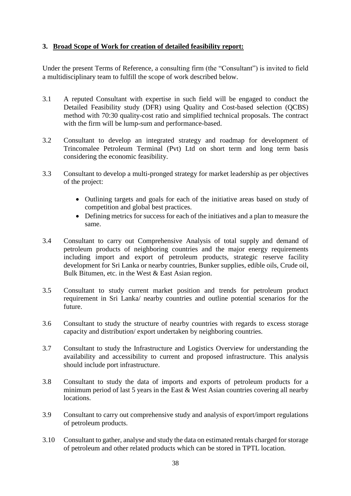## **3. Broad Scope of Work for creation of detailed feasibility report:**

Under the present Terms of Reference, a consulting firm (the "Consultant") is invited to field a multidisciplinary team to fulfill the scope of work described below.

- 3.1 A reputed Consultant with expertise in such field will be engaged to conduct the Detailed Feasibility study (DFR) using Quality and Cost-based selection (QCBS) method with 70:30 quality-cost ratio and simplified technical proposals. The contract with the firm will be lump-sum and performance-based.
- 3.2 Consultant to develop an integrated strategy and roadmap for development of Trincomalee Petroleum Terminal (Pvt) Ltd on short term and long term basis considering the economic feasibility.
- 3.3 Consultant to develop a multi-pronged strategy for market leadership as per objectives of the project:
	- Outlining targets and goals for each of the initiative areas based on study of competition and global best practices.
	- Defining metrics for success for each of the initiatives and a plan to measure the same.
- 3.4 Consultant to carry out Comprehensive Analysis of total supply and demand of petroleum products of neighboring countries and the major energy requirements including import and export of petroleum products, strategic reserve facility development for Sri Lanka or nearby countries, Bunker supplies, edible oils, Crude oil, Bulk Bitumen, etc. in the West & East Asian region.
- 3.5 Consultant to study current market position and trends for petroleum product requirement in Sri Lanka/ nearby countries and outline potential scenarios for the future.
- 3.6 Consultant to study the structure of nearby countries with regards to excess storage capacity and distribution/ export undertaken by neighboring countries.
- 3.7 Consultant to study the Infrastructure and Logistics Overview for understanding the availability and accessibility to current and proposed infrastructure. This analysis should include port infrastructure.
- 3.8 Consultant to study the data of imports and exports of petroleum products for a minimum period of last 5 years in the East & West Asian countries covering all nearby locations.
- 3.9 Consultant to carry out comprehensive study and analysis of export/import regulations of petroleum products.
- 3.10 Consultant to gather, analyse and study the data on estimated rentals charged for storage of petroleum and other related products which can be stored in TPTL location.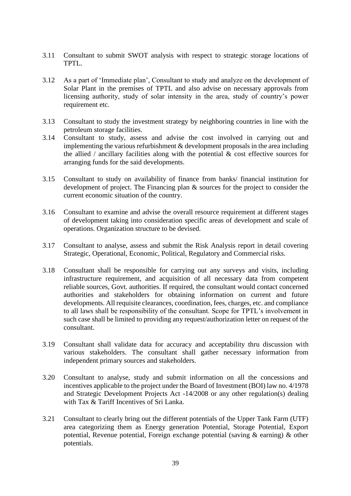- 3.11 Consultant to submit SWOT analysis with respect to strategic storage locations of TPTL.
- 3.12 As a part of 'Immediate plan', Consultant to study and analyze on the development of Solar Plant in the premises of TPTL and also advise on necessary approvals from licensing authority, study of solar intensity in the area, study of country's power requirement etc.
- 3.13 Consultant to study the investment strategy by neighboring countries in line with the petroleum storage facilities.
- 3.14 Consultant to study, assess and advise the cost involved in carrying out and implementing the various refurbishment & development proposals in the area including the allied / ancillary facilities along with the potential  $\&$  cost effective sources for arranging funds for the said developments.
- 3.15 Consultant to study on availability of finance from banks/ financial institution for development of project. The Financing plan & sources for the project to consider the current economic situation of the country.
- 3.16 Consultant to examine and advise the overall resource requirement at different stages of development taking into consideration specific areas of development and scale of operations. Organization structure to be devised.
- 3.17 Consultant to analyse, assess and submit the Risk Analysis report in detail covering Strategic, Operational, Economic, Political, Regulatory and Commercial risks.
- 3.18 Consultant shall be responsible for carrying out any surveys and visits, including infrastructure requirement, and acquisition of all necessary data from competent reliable sources, Govt. authorities. If required, the consultant would contact concerned authorities and stakeholders for obtaining information on current and future developments. All requisite clearances, coordination, fees, charges, etc. and compliance to all laws shall be responsibility of the consultant. Scope for TPTL's involvement in such case shall be limited to providing any request/authorization letter on request of the consultant.
- 3.19 Consultant shall validate data for accuracy and acceptability thru discussion with various stakeholders. The consultant shall gather necessary information from independent primary sources and stakeholders.
- 3.20 Consultant to analyse, study and submit information on all the concessions and incentives applicable to the project under the Board of Investment (BOI) law no. 4/1978 and Strategic Development Projects Act -14/2008 or any other regulation(s) dealing with Tax & Tariff Incentives of Sri Lanka.
- 3.21 Consultant to clearly bring out the different potentials of the Upper Tank Farm (UTF) area categorizing them as Energy generation Potential, Storage Potential, Export potential, Revenue potential, Foreign exchange potential (saving & earning) & other potentials.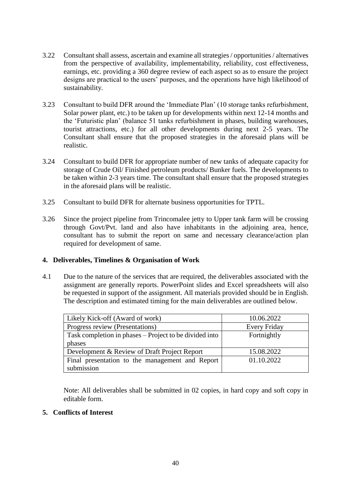- 3.22 Consultant shall assess, ascertain and examine all strategies / opportunities / alternatives from the perspective of availability, implementability, reliability, cost effectiveness, earnings, etc. providing a 360 degree review of each aspect so as to ensure the project designs are practical to the users' purposes, and the operations have high likelihood of sustainability.
- 3.23 Consultant to build DFR around the 'Immediate Plan' (10 storage tanks refurbishment, Solar power plant, etc.) to be taken up for developments within next 12-14 months and the 'Futuristic plan' (balance 51 tanks refurbishment in phases, building warehouses, tourist attractions, etc.) for all other developments during next 2-5 years. The Consultant shall ensure that the proposed strategies in the aforesaid plans will be realistic.
- 3.24 Consultant to build DFR for appropriate number of new tanks of adequate capacity for storage of Crude Oil/ Finished petroleum products/ Bunker fuels. The developments to be taken within 2-3 years time. The consultant shall ensure that the proposed strategies in the aforesaid plans will be realistic.
- 3.25 Consultant to build DFR for alternate business opportunities for TPTL.
- 3.26 Since the project pipeline from Trincomalee jetty to Upper tank farm will be crossing through Govt/Pvt. land and also have inhabitants in the adjoining area, hence, consultant has to submit the report on same and necessary clearance/action plan required for development of same.

#### **4. Deliverables, Timelines & Organisation of Work**

4.1 Due to the nature of the services that are required, the deliverables associated with the assignment are generally reports. PowerPoint slides and Excel spreadsheets will also be requested in support of the assignment. All materials provided should be in English. The description and estimated timing for the main deliverables are outlined below.

| Likely Kick-off (Award of work)                        | 10.06.2022          |
|--------------------------------------------------------|---------------------|
| Progress review (Presentations)                        | <b>Every Friday</b> |
| Task completion in phases – Project to be divided into | Fortnightly         |
| phases                                                 |                     |
| Development & Review of Draft Project Report           | 15.08.2022          |
| Final presentation to the management and Report        | 01.10.2022          |
| submission                                             |                     |

Note: All deliverables shall be submitted in 02 copies, in hard copy and soft copy in editable form.

#### **5. Conflicts of Interest**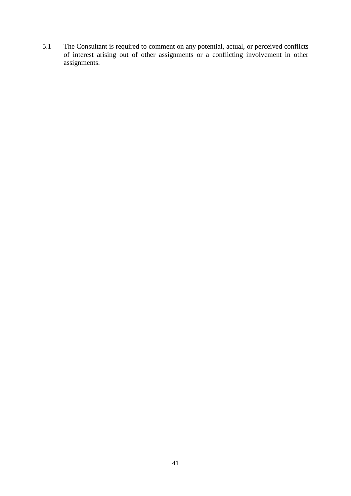5.1 The Consultant is required to comment on any potential, actual, or perceived conflicts of interest arising out of other assignments or a conflicting involvement in other assignments.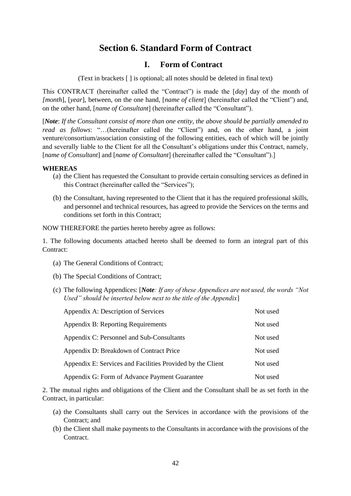## **Section 6. Standard Form of Contract**

## **I. Form of Contract**

(Text in brackets [ ] is optional; all notes should be deleted in final text)

<span id="page-42-1"></span><span id="page-42-0"></span>This CONTRACT (hereinafter called the "Contract") is made the [*day*] day of the month of *[month*], [*year*], between, on the one hand, [*name of client*] (hereinafter called the "Client") and, on the other hand, [*name of Consultant*] (hereinafter called the "Consultant").

[*Note*: *If the Consultant consist of more than one entity, the above should be partially amended to read as follows*: "…(hereinafter called the "Client") and, on the other hand, a joint venture/consortium/association consisting of the following entities, each of which will be jointly and severally liable to the Client for all the Consultant's obligations under this Contract, namely, [*name of Consultant*] and [*name of Consultant*] (hereinafter called the "Consultant").]

#### **WHEREAS**

- (a) the Client has requested the Consultant to provide certain consulting services as defined in this Contract (hereinafter called the "Services");
- (b) the Consultant, having represented to the Client that it has the required professional skills, and personnel and technical resources, has agreed to provide the Services on the terms and conditions set forth in this Contract;

NOW THEREFORE the parties hereto hereby agree as follows:

1. The following documents attached hereto shall be deemed to form an integral part of this Contract<sup>.</sup>

- (a) The General Conditions of Contract;
- (b) The Special Conditions of Contract;
- (c) The following Appendices: [*Note: If any of these Appendices are not used, the words "Not Used" should be inserted below next to the title of the Appendix*]

| Appendix A: Description of Services                        | Not used |
|------------------------------------------------------------|----------|
| Appendix B: Reporting Requirements                         | Not used |
| Appendix C: Personnel and Sub-Consultants                  | Not used |
| Appendix D: Breakdown of Contract Price                    | Not used |
| Appendix E: Services and Facilities Provided by the Client | Not used |
| Appendix G: Form of Advance Payment Guarantee              | Not used |

2. The mutual rights and obligations of the Client and the Consultant shall be as set forth in the Contract, in particular:

- (a) the Consultants shall carry out the Services in accordance with the provisions of the Contract; and
- (b) the Client shall make payments to the Consultants in accordance with the provisions of the **Contract.**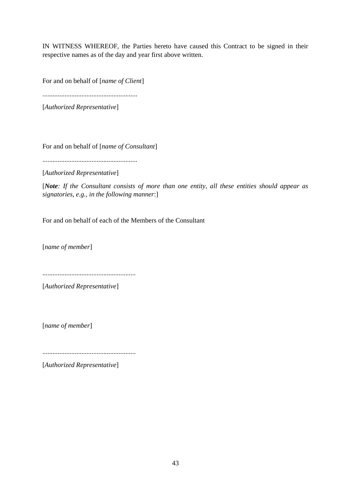IN WITNESS WHEREOF, the Parties hereto have caused this Contract to be signed in their respective names as of the day and year first above written.

For and on behalf of [*name of Client*]

........................................................

[*Authorized Representative*]

For and on behalf of [*name of Consultant*]

........................................................

[*Authorized Representative*]

[*Note: If the Consultant consists of more than one entity, all these entities should appear as signatories, e.g., in the following manner*:]

For and on behalf of each of the Members of the Consultant

[*name of member*]

.......................................................

[*Authorized Representative*]

[*name of member*]

.......................................................

[*Authorized Representative*]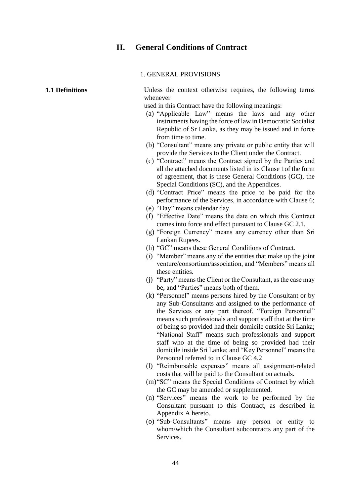## **II. General Conditions of Contract**

#### 1. GENERAL PROVISIONS

<span id="page-44-0"></span>**1.1 Definitions** Unless the context otherwise requires, the following terms whenever

used in this Contract have the following meanings:

- (a) "Applicable Law" means the laws and any other instruments having the force of law in Democratic Socialist Republic of Sr Lanka, as they may be issued and in force from time to time.
- (b) "Consultant" means any private or public entity that will provide the Services to the Client under the Contract.
- (c) "Contract" means the Contract signed by the Parties and all the attached documents listed in its Clause 1of the form of agreement, that is these General Conditions (GC), the Special Conditions (SC), and the Appendices.
- (d) "Contract Price" means the price to be paid for the performance of the Services, in accordance with Clause 6;
- (e) "Day" means calendar day.
- (f) "Effective Date" means the date on which this Contract comes into force and effect pursuant to Clause GC 2.1.
- (g) "Foreign Currency" means any currency other than Sri Lankan Rupees.
- (h) "GC" means these General Conditions of Contract.
- (i) "Member" means any of the entities that make up the joint venture/consortium/association, and "Members" means all these entities.
- (j) "Party" means the Client or the Consultant, as the case may be, and "Parties" means both of them.
- (k) "Personnel" means persons hired by the Consultant or by any Sub-Consultants and assigned to the performance of the Services or any part thereof. "Foreign Personnel" means such professionals and support staff that at the time of being so provided had their domicile outside Sri Lanka; "National Staff" means such professionals and support staff who at the time of being so provided had their domicile inside Sri Lanka; and "Key Personnel" means the Personnel referred to in Clause GC 4.2
- (l) "Reimbursable expenses" means all assignment-related costs that will be paid to the Consultant on actuals.
- (m)"SC" means the Special Conditions of Contract by which the GC may be amended or supplemented.
- (n) "Services" means the work to be performed by the Consultant pursuant to this Contract, as described in Appendix A hereto.
- (o) "Sub-Consultants" means any person or entity to whom/which the Consultant subcontracts any part of the **Services**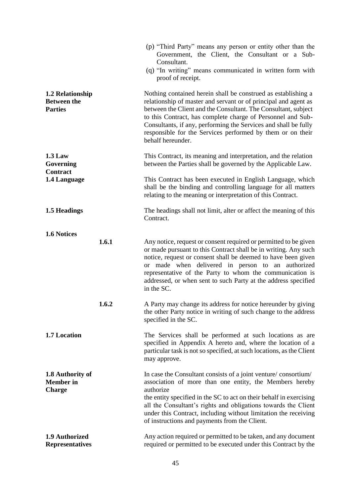|                                                          |       | (p) "Third Party" means any person or entity other than the<br>Government, the Client, the Consultant or a Sub-<br>Consultant.<br>(q) "In writing" means communicated in written form with<br>proof of receipt.                                                                                                                                                                                                         |
|----------------------------------------------------------|-------|-------------------------------------------------------------------------------------------------------------------------------------------------------------------------------------------------------------------------------------------------------------------------------------------------------------------------------------------------------------------------------------------------------------------------|
| 1.2 Relationship<br><b>Between</b> the<br><b>Parties</b> |       | Nothing contained herein shall be construed as establishing a<br>relationship of master and servant or of principal and agent as<br>between the Client and the Consultant. The Consultant, subject<br>to this Contract, has complete charge of Personnel and Sub-<br>Consultants, if any, performing the Services and shall be fully<br>responsible for the Services performed by them or on their<br>behalf hereunder. |
| <b>1.3 Law</b><br>Governing<br><b>Contract</b>           |       | This Contract, its meaning and interpretation, and the relation<br>between the Parties shall be governed by the Applicable Law.                                                                                                                                                                                                                                                                                         |
| 1.4 Language                                             |       | This Contract has been executed in English Language, which<br>shall be the binding and controlling language for all matters<br>relating to the meaning or interpretation of this Contract.                                                                                                                                                                                                                              |
| 1.5 Headings                                             |       | The headings shall not limit, alter or affect the meaning of this<br>Contract.                                                                                                                                                                                                                                                                                                                                          |
| 1.6 Notices                                              | 1.6.1 | Any notice, request or consent required or permitted to be given<br>or made pursuant to this Contract shall be in writing. Any such<br>notice, request or consent shall be deemed to have been given<br>or made when delivered in person to an authorized<br>representative of the Party to whom the communication is<br>addressed, or when sent to such Party at the address specified<br>in the SC.                   |
|                                                          | 1.6.2 | A Party may change its address for notice hereunder by giving<br>the other Party notice in writing of such change to the address<br>specified in the SC.                                                                                                                                                                                                                                                                |
| 1.7 Location                                             |       | The Services shall be performed at such locations as are<br>specified in Appendix A hereto and, where the location of a<br>particular task is not so specified, at such locations, as the Client<br>may approve.                                                                                                                                                                                                        |
| 1.8 Authority of<br><b>Member</b> in<br><b>Charge</b>    |       | In case the Consultant consists of a joint venture/consortium/<br>association of more than one entity, the Members hereby<br>authorize<br>the entity specified in the SC to act on their behalf in exercising<br>all the Consultant's rights and obligations towards the Client<br>under this Contract, including without limitation the receiving<br>of instructions and payments from the Client.                     |
| 1.9 Authorized<br><b>Representatives</b>                 |       | Any action required or permitted to be taken, and any document<br>required or permitted to be executed under this Contract by the                                                                                                                                                                                                                                                                                       |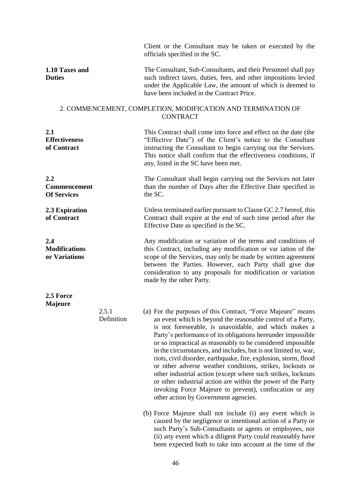|                                              |                     | Client or the Consultant may be taken or executed by the<br>officials specified in the SC.                                                                                                                                                                                                                                                                                                                                                                                                                                                                                                                                                                                                                                                                |
|----------------------------------------------|---------------------|-----------------------------------------------------------------------------------------------------------------------------------------------------------------------------------------------------------------------------------------------------------------------------------------------------------------------------------------------------------------------------------------------------------------------------------------------------------------------------------------------------------------------------------------------------------------------------------------------------------------------------------------------------------------------------------------------------------------------------------------------------------|
| 1.10 Taxes and<br><b>Duties</b>              |                     | The Consultant, Sub-Consultants, and their Personnel shall pay<br>such indirect taxes, duties, fees, and other impositions levied<br>under the Applicable Law, the amount of which is deemed to<br>have been included in the Contract Price.                                                                                                                                                                                                                                                                                                                                                                                                                                                                                                              |
|                                              |                     | 2. COMMENCEMENT, COMPLETION, MODIFICATION AND TERMINATION OF<br><b>CONTRACT</b>                                                                                                                                                                                                                                                                                                                                                                                                                                                                                                                                                                                                                                                                           |
| 2.1<br><b>Effectiveness</b><br>of Contract   |                     | This Contract shall come into force and effect on the date (the<br>"Effective Date") of the Client's notice to the Consultant<br>instructing the Consultant to begin carrying out the Services.<br>This notice shall confirm that the effectiveness conditions, if<br>any, listed in the SC have been met.                                                                                                                                                                                                                                                                                                                                                                                                                                                |
| 2.2<br>Commencement<br><b>Of Services</b>    |                     | The Consultant shall begin carrying out the Services not later<br>than the number of Days after the Effective Date specified in<br>the SC.                                                                                                                                                                                                                                                                                                                                                                                                                                                                                                                                                                                                                |
| 2.3 Expiration<br>of Contract                |                     | Unless terminated earlier pursuant to Clause GC 2.7 hereof, this<br>Contract shall expire at the end of such time period after the<br>Effective Date as specified in the SC.                                                                                                                                                                                                                                                                                                                                                                                                                                                                                                                                                                              |
| 2.4<br><b>Modifications</b><br>or Variations |                     | Any modification or variation of the terms and conditions of<br>this Contract, including any modification or var iation of the<br>scope of the Services, may only be made by written agreement<br>between the Parties. However, each Party shall give due<br>consideration to any proposals for modification or variation<br>made by the other Party.                                                                                                                                                                                                                                                                                                                                                                                                     |
| 2.5 Force<br><b>Majeure</b>                  |                     |                                                                                                                                                                                                                                                                                                                                                                                                                                                                                                                                                                                                                                                                                                                                                           |
|                                              | 2.5.1<br>Definition | (a) For the purposes of this Contract, "Force Majeure" means<br>an event which is beyond the reasonable control of a Party,<br>is not foreseeable, is unavoidable, and which makes a<br>Party's performance of its obligations hereunder impossible<br>or so impractical as reasonably to be considered impossible<br>in the circumstances, and includes, but is not limited to, war,<br>riots, civil disorder, earthquake, fire, explosion, storm, flood<br>or other adverse weather conditions, strikes, lockouts or<br>other industrial action (except where such strikes, lockouts<br>or other industrial action are within the power of the Party<br>invoking Force Majeure to prevent), confiscation or any<br>other action by Government agencies. |
|                                              |                     | (b) Force Majeure shall not include (i) any event which is<br>caused by the negligence or intentional action of a Party or<br>such Party's Sub-Consultants or agents or employees, nor<br>(ii) any event which a diligent Party could reasonably have<br>been expected both to take into account at the time of the                                                                                                                                                                                                                                                                                                                                                                                                                                       |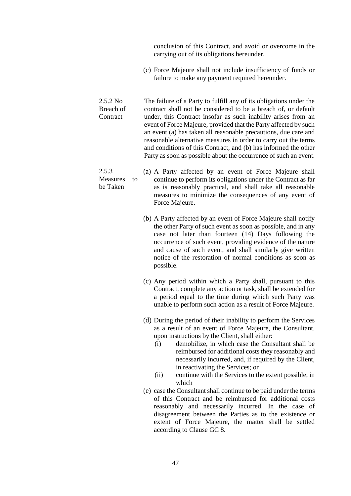conclusion of this Contract, and avoid or overcome in the carrying out of its obligations hereunder.

(c) Force Majeure shall not include insufficiency of funds or failure to make any payment required hereunder.

| 2.5.2 N <sub>o</sub> | The failure of a Party to fulfill any of its obligations under the |
|----------------------|--------------------------------------------------------------------|
| Breach of            | contract shall not be considered to be a breach of, or default     |
| Contract             | under, this Contract insofar as such inability arises from an      |
|                      | event of Force Majeure, provided that the Party affected by such   |
|                      | an event (a) has taken all reasonable precautions, due care and    |
|                      | reasonable alternative measures in order to carry out the terms    |
|                      | and conditions of this Contract, and (b) has informed the other    |
|                      | Party as soon as possible about the occurrence of such an event.   |
|                      |                                                                    |

2.5.3 Measures to be Taken (a) A Party affected by an event of Force Majeure shall continue to perform its obligations under the Contract as far as is reasonably practical, and shall take all reasonable measures to minimize the consequences of any event of Force Majeure.

- (b) A Party affected by an event of Force Majeure shall notify the other Party of such event as soon as possible, and in any case not later than fourteen (14) Days following the occurrence of such event, providing evidence of the nature and cause of such event, and shall similarly give written notice of the restoration of normal conditions as soon as possible.
- (c) Any period within which a Party shall, pursuant to this Contract, complete any action or task, shall be extended for a period equal to the time during which such Party was unable to perform such action as a result of Force Majeure.
- (d) During the period of their inability to perform the Services as a result of an event of Force Majeure, the Consultant, upon instructions by the Client, shall either:
	- (i) demobilize, in which case the Consultant shall be reimbursed for additional costs they reasonably and necessarily incurred, and, if required by the Client, in reactivating the Services; or
	- (ii) continue with the Services to the extent possible, in which
- (e) case the Consultant shall continue to be paid under the terms of this Contract and be reimbursed for additional costs reasonably and necessarily incurred. In the case of disagreement between the Parties as to the existence or extent of Force Majeure, the matter shall be settled according to Clause GC 8.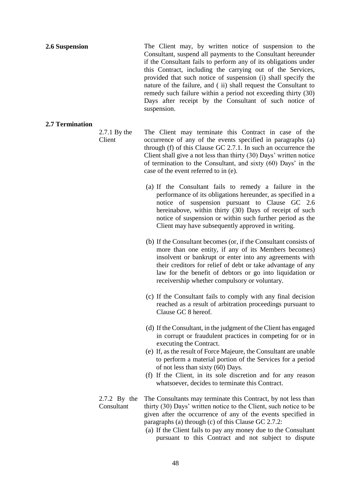**2.6 Suspension** The Client may, by written notice of suspension to the Consultant, suspend all payments to the Consultant hereunder if the Consultant fails to perform any of its obligations under this Contract, including the carrying out of the Services, provided that such notice of suspension (i) shall specify the nature of the failure, and ( ii) shall request the Consultant to remedy such failure within a period not exceeding thirty (30) Days after receipt by the Consultant of such notice of suspension.

#### **2.7 Termination**

2.7.1 By the Client

The Client may terminate this Contract in case of the occurrence of any of the events specified in paragraphs (a) through (f) of this Clause GC 2.7.1. In such an occurrence the Client shall give a not less than thirty (30) Days' written notice of termination to the Consultant, and sixty (60) Days' in the case of the event referred to in (e).

- (a) If the Consultant fails to remedy a failure in the performance of its obligations hereunder, as specified in a notice of suspension pursuant to Clause GC 2.6 hereinabove, within thirty (30) Days of receipt of such notice of suspension or within such further period as the Client may have subsequently approved in writing.
- (b) If the Consultant becomes (or, if the Consultant consists of more than one entity, if any of its Members becomes) insolvent or bankrupt or enter into any agreements with their creditors for relief of debt or take advantage of any law for the benefit of debtors or go into liquidation or receivership whether compulsory or voluntary.
- (c) If the Consultant fails to comply with any final decision reached as a result of arbitration proceedings pursuant to Clause GC 8 hereof.
- (d) If the Consultant, in the judgment of the Client has engaged in corrupt or fraudulent practices in competing for or in executing the Contract.
- (e) If, as the result of Force Majeure, the Consultant are unable to perform a material portion of the Services for a period of not less than sixty (60) Days.
- (f) If the Client, in its sole discretion and for any reason whatsoever, decides to terminate this Contract.

2.7.2 By the Consultant The Consultants may terminate this Contract, by not less than thirty (30) Days' written notice to the Client, such notice to be given after the occurrence of any of the events specified in paragraphs (a) through (c) of this Clause GC 2.7.2:

(a) If the Client fails to pay any money due to the Consultant pursuant to this Contract and not subject to dispute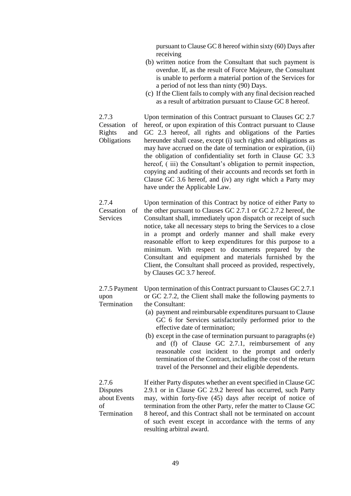pursuant to Clause GC 8 hereof within sixty (60) Days after receiving

- (b) written notice from the Consultant that such payment is overdue. If, as the result of Force Majeure, the Consultant is unable to perform a material portion of the Services for a period of not less than ninty (90) Days.
- (c) If the Client fails to comply with any final decision reached as a result of arbitration pursuant to Clause GC 8 hereof.

| 2.7.3<br>Cessation<br>of<br>Rights<br>and<br>Obligations      | Upon termination of this Contract pursuant to Clauses GC 2.7<br>hereof, or upon expiration of this Contract pursuant to Clause<br>GC 2.3 hereof, all rights and obligations of the Parties<br>hereunder shall cease, except (i) such rights and obligations as<br>may have accrued on the date of termination or expiration, (ii)<br>the obligation of confidentiality set forth in Clause GC 3.3<br>hereof, (iii) the Consultant's obligation to permit inspection,<br>copying and auditing of their accounts and records set forth in<br>Clause GC 3.6 hereof, and (iv) any right which a Party may<br>have under the Applicable Law. |
|---------------------------------------------------------------|-----------------------------------------------------------------------------------------------------------------------------------------------------------------------------------------------------------------------------------------------------------------------------------------------------------------------------------------------------------------------------------------------------------------------------------------------------------------------------------------------------------------------------------------------------------------------------------------------------------------------------------------|
| 2.7.4<br>Cessation<br>of<br>Services                          | Upon termination of this Contract by notice of either Party to<br>the other pursuant to Clauses GC 2.7.1 or GC 2.7.2 hereof, the<br>Consultant shall, immediately upon dispatch or receipt of such<br>notice, take all necessary steps to bring the Services to a close<br>in a prompt and orderly manner and shall make every<br>reasonable effort to keep expenditures for this purpose to a<br>minimum. With respect to documents prepared by the<br>Consultant and equipment and materials furnished by the<br>Client, the Consultant shall proceed as provided, respectively,<br>by Clauses GC 3.7 hereof.                         |
| 2.7.5 Payment<br>upon<br>Termination                          | Upon termination of this Contract pursuant to Clauses GC 2.7.1<br>or GC 2.7.2, the Client shall make the following payments to<br>the Consultant:<br>(a) payment and reimbursable expenditures pursuant to Clause<br>GC 6 for Services satisfactorily performed prior to the<br>effective date of termination;<br>(b) except in the case of termination pursuant to paragraphs (e)<br>and (f) of Clause GC 2.7.1, reimbursement of any<br>reasonable cost incident to the prompt and orderly<br>termination of the Contract, including the cost of the return<br>travel of the Personnel and their eligible dependents.                 |
| 2.7.6<br><b>Disputes</b><br>about Events<br>of<br>Termination | If either Party disputes whether an event specified in Clause GC<br>2.9.1 or in Clause GC 2.9.2 hereof has occurred, such Party<br>may, within forty-five (45) days after receipt of notice of<br>termination from the other Party, refer the matter to Clause GC<br>8 hereof, and this Contract shall not be terminated on account<br>of such event except in accordance with the terms of any                                                                                                                                                                                                                                         |

resulting arbitral award.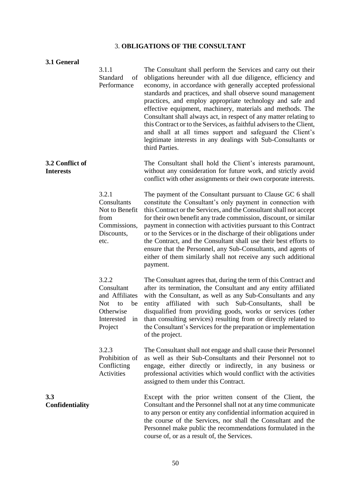## 3. **OBLIGATIONS OF THE CONSULTANT**

| 3.1 General                         |                                                                                         |                                                                                                                                                                                                                                                                                                                                                                                                                                                                                                                                                                                                                                                                                     |
|-------------------------------------|-----------------------------------------------------------------------------------------|-------------------------------------------------------------------------------------------------------------------------------------------------------------------------------------------------------------------------------------------------------------------------------------------------------------------------------------------------------------------------------------------------------------------------------------------------------------------------------------------------------------------------------------------------------------------------------------------------------------------------------------------------------------------------------------|
|                                     | 3.1.1<br>Standard<br>of<br>Performance                                                  | The Consultant shall perform the Services and carry out their<br>obligations hereunder with all due diligence, efficiency and<br>economy, in accordance with generally accepted professional<br>standards and practices, and shall observe sound management<br>practices, and employ appropriate technology and safe and<br>effective equipment, machinery, materials and methods. The<br>Consultant shall always act, in respect of any matter relating to<br>this Contract or to the Services, as faithful advisers to the Client,<br>and shall at all times support and safeguard the Client's<br>legitimate interests in any dealings with Sub-Consultants or<br>third Parties. |
| 3.2 Conflict of<br><b>Interests</b> |                                                                                         | The Consultant shall hold the Client's interests paramount,<br>without any consideration for future work, and strictly avoid<br>conflict with other assignments or their own corporate interests.                                                                                                                                                                                                                                                                                                                                                                                                                                                                                   |
|                                     | 3.2.1<br>Consultants<br>Not to Benefit<br>from<br>Commissions,<br>Discounts,<br>etc.    | The payment of the Consultant pursuant to Clause GC 6 shall<br>constitute the Consultant's only payment in connection with<br>this Contract or the Services, and the Consultant shall not accept<br>for their own benefit any trade commission, discount, or similar<br>payment in connection with activities pursuant to this Contract<br>or to the Services or in the discharge of their obligations under<br>the Contract, and the Consultant shall use their best efforts to<br>ensure that the Personnel, any Sub-Consultants, and agents of<br>either of them similarly shall not receive any such additional<br>payment.                                                     |
|                                     | 3.2.2<br>Consultant<br>and Affiliates<br><b>Not</b><br>to<br>be<br>Otherwise<br>Project | The Consultant agrees that, during the term of this Contract and<br>after its termination, the Consultant and any entity affiliated<br>with the Consultant, as well as any Sub-Consultants and any<br>affiliated with such Sub-Consultants,<br>entity<br>shall<br>be<br>disqualified from providing goods, works or services (other<br>Interested in than consulting services) resulting from or directly related to<br>the Consultant's Services for the preparation or implementation<br>of the project.                                                                                                                                                                          |
|                                     | 3.2.3<br>Prohibition of<br>Conflicting<br>Activities                                    | The Consultant shall not engage and shall cause their Personnel<br>as well as their Sub-Consultants and their Personnel not to<br>engage, either directly or indirectly, in any business or<br>professional activities which would conflict with the activities<br>assigned to them under this Contract.                                                                                                                                                                                                                                                                                                                                                                            |
| 3.3<br><b>Confidentiality</b>       |                                                                                         | Except with the prior written consent of the Client, the<br>Consultant and the Personnel shall not at any time communicate<br>to any person or entity any confidential information acquired in<br>the course of the Services, nor shall the Consultant and the<br>Personnel make public the recommendations formulated in the<br>course of, or as a result of, the Services.                                                                                                                                                                                                                                                                                                        |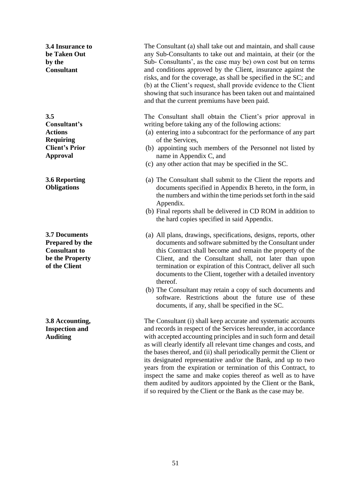**3.4 Insurance to be Taken Out by the Consultant**

**3.5 Consultant's Actions Requiring Client's Prior Approval**

**3.6 Reporting Obligations**

**3.7 Documents Prepared by the Consultant to be the Property of the Client**

**3.8 Accounting, Inspection and Auditing**

The Consultant (a) shall take out and maintain, and shall cause any Sub-Consultants to take out and maintain, at their (or the Sub- Consultants', as the case may be) own cost but on terms and conditions approved by the Client, insurance against the risks, and for the coverage, as shall be specified in the SC; and (b) at the Client's request, shall provide evidence to the Client showing that such insurance has been taken out and maintained and that the current premiums have been paid.

The Consultant shall obtain the Client's prior approval in writing before taking any of the following actions:

- (a) entering into a subcontract for the performance of any part of the Services,
- (b) appointing such members of the Personnel not listed by name in Appendix C, and
- (c) any other action that may be specified in the SC.
- (a) The Consultant shall submit to the Client the reports and documents specified in Appendix B hereto, in the form, in the numbers and within the time periods set forth in the said Appendix.
- (b) Final reports shall be delivered in CD ROM in addition to the hard copies specified in said Appendix.
- (a) All plans, drawings, specifications, designs, reports, other documents and software submitted by the Consultant under this Contract shall become and remain the property of the Client, and the Consultant shall, not later than upon termination or expiration of this Contract, deliver all such documents to the Client, together with a detailed inventory thereof.
- (b) The Consultant may retain a copy of such documents and software. Restrictions about the future use of these documents, if any, shall be specified in the SC.

The Consultant (i) shall keep accurate and systematic accounts and records in respect of the Services hereunder, in accordance with accepted accounting principles and in such form and detail as will clearly identify all relevant time changes and costs, and the bases thereof, and (ii) shall periodically permit the Client or its designated representative and/or the Bank, and up to two years from the expiration or termination of this Contract, to inspect the same and make copies thereof as well as to have them audited by auditors appointed by the Client or the Bank, if so required by the Client or the Bank as the case may be.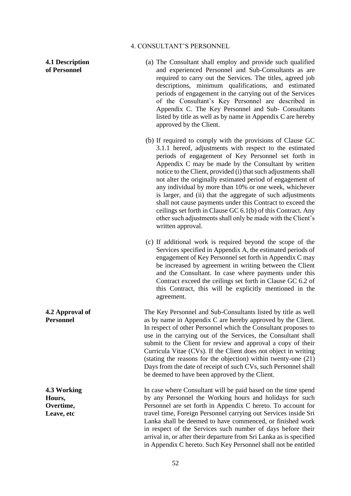#### 4. CONSULTANT'S PERSONNEL

**4.1 Description of Personnel**

- (a) The Consultant shall employ and provide such qualified and experienced Personnel and Sub-Consultants as are required to carry out the Services. The titles, agreed job descriptions, minimum qualifications, and estimated periods of engagement in the carrying out of the Services of the Consultant's Key Personnel are described in Appendix C. The Key Personnel and Sub- Consultants listed by title as well as by name in Appendix C are hereby approved by the Client.
- (b) If required to comply with the provisions of Clause GC 3.1.1 hereof, adjustments with respect to the estimated periods of engagement of Key Personnel set forth in Appendix C may be made by the Consultant by written notice to the Client, provided (i) that such adjustments shall not alter the originally estimated period of engagement of any individual by more than 10% or one week, whichever is larger, and (ii) that the aggregate of such adjustments shall not cause payments under this Contract to exceed the ceilings set forth in Clause GC 6.1(b) of this Contract. Any other such adjustments shall only be made with the Client's written approval.
- (c) If additional work is required beyond the scope of the Services specified in Appendix A, the estimated periods of engagement of Key Personnel set forth in Appendix C may be increased by agreement in writing between the Client and the Consultant. In case where payments under this Contract exceed the ceilings set forth in Clause GC 6.2 of this Contract, this will be explicitly mentioned in the agreement.

The Key Personnel and Sub-Consultants listed by title as well as by name in Appendix C are hereby approved by the Client. In respect of other Personnel which the Consultant proposes to use in the carrying out of the Services, the Consultant shall submit to the Client for review and approval a copy of their Curricula Vitae (CVs). If the Client does not object in writing (stating the reasons for the objection) within twenty-one (21) Days from the date of receipt of such CVs, such Personnel shall be deemed to have been approved by the Client.

In case where Consultant will be paid based on the time spend by any Personnel the Working hours and holidays for such Personnel are set forth in Appendix C hereto. To account for travel time, Foreign Personnel carrying out Services inside Sri Lanka shall be deemed to have commenced, or finished work in respect of the Services such number of days before their arrival in, or after their departure from Sri Lanka as is specified in Appendix C hereto. Such Key Personnel shall not be entitled

#### **4.2 Approval of Personnel**

**4.3 Working Hours, Overtime, Leave, etc**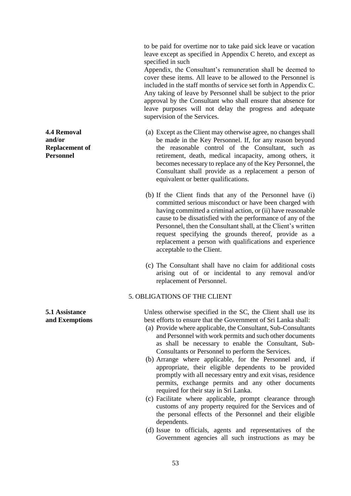to be paid for overtime nor to take paid sick leave or vacation leave except as specified in Appendix C hereto, and except as specified in such

Appendix, the Consultant's remuneration shall be deemed to cover these items. All leave to be allowed to the Personnel is included in the staff months of service set forth in Appendix C. Any taking of leave by Personnel shall be subject to the prior approval by the Consultant who shall ensure that absence for leave purposes will not delay the progress and adequate supervision of the Services.

- (a) Except as the Client may otherwise agree, no changes shall be made in the Key Personnel. If, for any reason beyond the reasonable control of the Consultant, such as retirement, death, medical incapacity, among others, it becomes necessary to replace any of the Key Personnel, the Consultant shall provide as a replacement a person of equivalent or better qualifications.
- (b) If the Client finds that any of the Personnel have (i) committed serious misconduct or have been charged with having committed a criminal action, or (ii) have reasonable cause to be dissatisfied with the performance of any of the Personnel, then the Consultant shall, at the Client's written request specifying the grounds thereof, provide as a replacement a person with qualifications and experience acceptable to the Client.
- (c) The Consultant shall have no claim for additional costs arising out of or incidental to any removal and/or replacement of Personnel.

#### 5. OBLIGATIONS OF THE CLIENT

Unless otherwise specified in the SC, the Client shall use its best efforts to ensure that the Government of Sri Lanka shall:

- (a) Provide where applicable, the Consultant, Sub-Consultants and Personnel with work permits and such other documents as shall be necessary to enable the Consultant, Sub-Consultants or Personnel to perform the Services.
- (b) Arrange where applicable, for the Personnel and, if appropriate, their eligible dependents to be provided promptly with all necessary entry and exit visas, residence permits, exchange permits and any other documents required for their stay in Sri Lanka.
- (c) Facilitate where applicable, prompt clearance through customs of any property required for the Services and of the personal effects of the Personnel and their eligible dependents.
- (d) Issue to officials, agents and representatives of the Government agencies all such instructions as may be

**4.4 Removal and/or Replacement of Personnel**

**5.1 Assistance and Exemptions**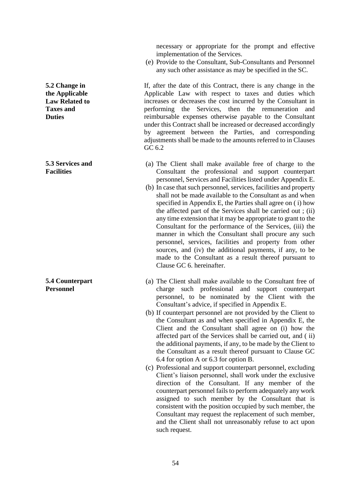necessary or appropriate for the prompt and effective implementation of the Services.

(e) Provide to the Consultant, Sub-Consultants and Personnel any such other assistance as may be specified in the SC.

If, after the date of this Contract, there is any change in the Applicable Law with respect to taxes and duties which increases or decreases the cost incurred by the Consultant in performing the Services, then the remuneration and reimbursable expenses otherwise payable to the Consultant under this Contract shall be increased or decreased accordingly by agreement between the Parties, and corresponding adjustments shall be made to the amounts referred to in Clauses  $GC62$ 

- (a) The Client shall make available free of charge to the Consultant the professional and support counterpart personnel, Services and Facilities listed under Appendix E.
- (b) In case that such personnel, services, facilities and property shall not be made available to the Consultant as and when specified in Appendix E, the Parties shall agree on ( i) how the affected part of the Services shall be carried out ; (ii) any time extension that it may be appropriate to grant to the Consultant for the performance of the Services, (iii) the manner in which the Consultant shall procure any such personnel, services, facilities and property from other sources, and (iv) the additional payments, if any, to be made to the Consultant as a result thereof pursuant to Clause GC 6. hereinafter.
- (a) The Client shall make available to the Consultant free of charge such professional and support counterpart personnel, to be nominated by the Client with the Consultant's advice, if specified in Appendix E.
- (b) If counterpart personnel are not provided by the Client to the Consultant as and when specified in Appendix E, the Client and the Consultant shall agree on (i) how the affected part of the Services shall be carried out, and ( ii) the additional payments, if any, to be made by the Client to the Consultant as a result thereof pursuant to Clause GC 6.4 for option A or 6.3 for option B.
- (c) Professional and support counterpart personnel, excluding Client's liaison personnel, shall work under the exclusive direction of the Consultant. If any member of the counterpart personnel fails to perform adequately any work assigned to such member by the Consultant that is consistent with the position occupied by such member, the Consultant may request the replacement of such member, and the Client shall not unreasonably refuse to act upon such request.

**5.2 Change in the Applicable Law Related to Taxes and Duties**

**5.3 Services and Facilities**

**5.4 Counterpart Personnel**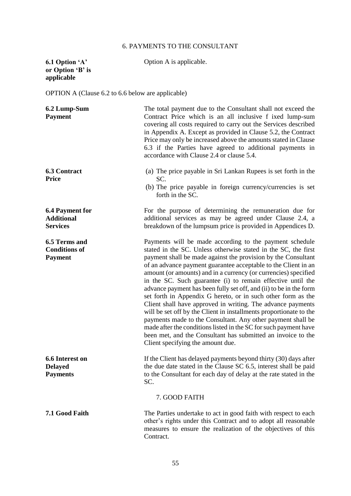## 6. PAYMENTS TO THE CONSULTANT

Option A is applicable.

**6.1 Option 'A' or Option 'B' is applicable**

OPTION A (Clause 6.2 to 6.6 below are applicable)

| 6.2 Lump-Sum<br><b>Payment</b>                                 | The total payment due to the Consultant shall not exceed the<br>Contract Price which is an all inclusive f ixed lump-sum<br>covering all costs required to carry out the Services described<br>in Appendix A. Except as provided in Clause 5.2, the Contract<br>Price may only be increased above the amounts stated in Clause<br>6.3 if the Parties have agreed to additional payments in<br>accordance with Clause 2.4 or clause 5.4.                                                                                                                                                                                                                                                                                                                                                                                                                                                                           |
|----------------------------------------------------------------|-------------------------------------------------------------------------------------------------------------------------------------------------------------------------------------------------------------------------------------------------------------------------------------------------------------------------------------------------------------------------------------------------------------------------------------------------------------------------------------------------------------------------------------------------------------------------------------------------------------------------------------------------------------------------------------------------------------------------------------------------------------------------------------------------------------------------------------------------------------------------------------------------------------------|
| <b>6.3 Contract</b><br><b>Price</b>                            | (a) The price payable in Sri Lankan Rupees is set forth in the<br>SC.<br>(b) The price payable in foreign currency/currencies is set<br>forth in the SC.                                                                                                                                                                                                                                                                                                                                                                                                                                                                                                                                                                                                                                                                                                                                                          |
| <b>6.4 Payment for</b><br><b>Additional</b><br><b>Services</b> | For the purpose of determining the remuneration due for<br>additional services as may be agreed under Clause 2.4, a<br>breakdown of the lumpsum price is provided in Appendices D.                                                                                                                                                                                                                                                                                                                                                                                                                                                                                                                                                                                                                                                                                                                                |
| <b>6.5 Terms and</b><br><b>Conditions of</b><br><b>Payment</b> | Payments will be made according to the payment schedule<br>stated in the SC. Unless otherwise stated in the SC, the first<br>payment shall be made against the provision by the Consultant<br>of an advance payment guarantee acceptable to the Client in an<br>amount (or amounts) and in a currency (or currencies) specified<br>in the SC. Such guarantee (i) to remain effective until the<br>advance payment has been fully set off, and (ii) to be in the form<br>set forth in Appendix G hereto, or in such other form as the<br>Client shall have approved in writing. The advance payments<br>will be set off by the Client in installments proportionate to the<br>payments made to the Consultant. Any other payment shall be<br>made after the conditions listed in the SC for such payment have<br>been met, and the Consultant has submitted an invoice to the<br>Client specifying the amount due. |
| <b>6.6 Interest on</b><br><b>Delayed</b><br><b>Payments</b>    | If the Client has delayed payments beyond thirty (30) days after<br>the due date stated in the Clause SC 6.5, interest shall be paid<br>to the Consultant for each day of delay at the rate stated in the<br>SC.                                                                                                                                                                                                                                                                                                                                                                                                                                                                                                                                                                                                                                                                                                  |
|                                                                | 7. GOOD FAITH                                                                                                                                                                                                                                                                                                                                                                                                                                                                                                                                                                                                                                                                                                                                                                                                                                                                                                     |
| 7.1 Good Faith                                                 | The Parties undertake to act in good faith with respect to each<br>other's rights under this Contract and to adopt all reasonable<br>measures to ensure the realization of the objectives of this<br>Contract.                                                                                                                                                                                                                                                                                                                                                                                                                                                                                                                                                                                                                                                                                                    |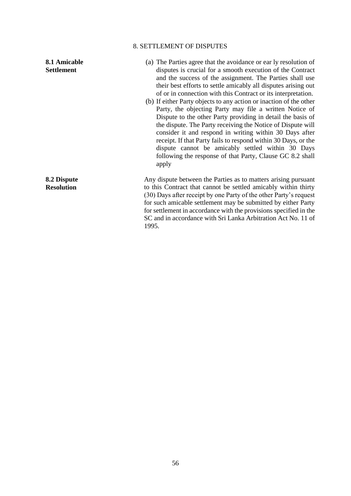#### 8. SETTLEMENT OF DISPUTES

**8.1 Amicable Settlement**

- (a) The Parties agree that the avoidance or ear ly resolution of disputes is crucial for a smooth execution of the Contract and the success of the assignment. The Parties shall use their best efforts to settle amicably all disputes arising out of or in connection with this Contract or its interpretation.
- (b) If either Party objects to any action or inaction of the other Party, the objecting Party may file a written Notice of Dispute to the other Party providing in detail the basis of the dispute. The Party receiving the Notice of Dispute will consider it and respond in writing within 30 Days after receipt. If that Party fails to respond within 30 Days, or the dispute cannot be amicably settled within 30 Days following the response of that Party, Clause GC 8.2 shall apply

Any dispute between the Parties as to matters arising pursuant to this Contract that cannot be settled amicably within thirty (30) Days after receipt by one Party of the other Party's request for such amicable settlement may be submitted by either Party for settlement in accordance with the provisions specified in the SC and in accordance with Sri Lanka Arbitration Act No. 11 of 1995.

**8.2 Dispute Resolution**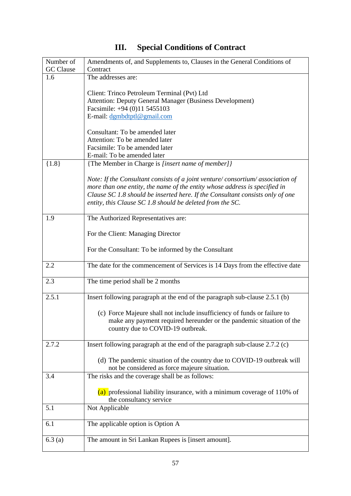<span id="page-57-0"></span>

| Number of        | Amendments of, and Supplements to, Clauses in the General Conditions of                                 |
|------------------|---------------------------------------------------------------------------------------------------------|
| <b>GC</b> Clause | Contract                                                                                                |
| 1.6              | The addresses are:                                                                                      |
|                  |                                                                                                         |
|                  | Client: Trinco Petroleum Terminal (Pvt) Ltd<br>Attention: Deputy General Manager (Business Development) |
|                  | Facsimile: +94 (0)11 5455103                                                                            |
|                  | E-mail: dgmbdtptl@gmail.com                                                                             |
|                  |                                                                                                         |
|                  | Consultant: To be amended later                                                                         |
|                  | Attention: To be amended later                                                                          |
|                  | Facsimile: To be amended later                                                                          |
|                  | E-mail: To be amended later                                                                             |
| ${1.8}$          | {The Member in Charge is [insert name of member]}                                                       |
|                  |                                                                                                         |
|                  | Note: If the Consultant consists of a joint venture/consortium/association of                           |
|                  | more than one entity, the name of the entity whose address is specified in                              |
|                  | Clause SC 1.8 should be inserted here. If the Consultant consists only of one                           |
|                  | entity, this Clause SC 1.8 should be deleted from the SC.                                               |
| 1.9              | The Authorized Representatives are:                                                                     |
|                  |                                                                                                         |
|                  | For the Client: Managing Director                                                                       |
|                  |                                                                                                         |
|                  | For the Consultant: To be informed by the Consultant                                                    |
|                  |                                                                                                         |
| 2.2              | The date for the commencement of Services is 14 Days from the effective date                            |
|                  |                                                                                                         |
| 2.3              | The time period shall be 2 months                                                                       |
| 2.5.1            | Insert following paragraph at the end of the paragraph sub-clause 2.5.1 (b)                             |
|                  |                                                                                                         |
|                  | (c) Force Majeure shall not include insufficiency of funds or failure to                                |
|                  | make any payment required hereunder or the pandemic situation of the                                    |
|                  | country due to COVID-19 outbreak.                                                                       |
|                  |                                                                                                         |
| 2.7.2            | Insert following paragraph at the end of the paragraph sub-clause 2.7.2 (c)                             |
|                  |                                                                                                         |
|                  | (d) The pandemic situation of the country due to COVID-19 outbreak will                                 |
|                  | not be considered as force majeure situation.                                                           |
| 3.4              | The risks and the coverage shall be as follows:                                                         |
|                  |                                                                                                         |
|                  | (a) professional liability insurance, with a minimum coverage of $110\%$ of                             |
| 5.1              | the consultancy service<br>Not Applicable                                                               |
|                  |                                                                                                         |
| 6.1              | The applicable option is Option A                                                                       |
|                  |                                                                                                         |
| 6.3(a)           | The amount in Sri Lankan Rupees is [insert amount].                                                     |
|                  |                                                                                                         |

## **III. Special Conditions of Contract**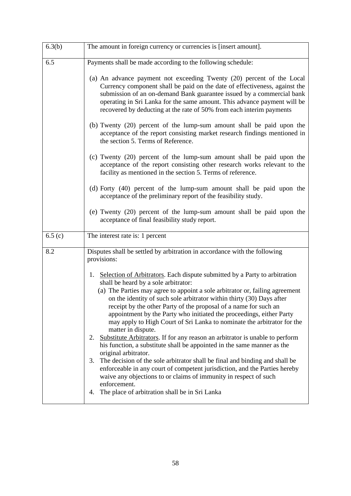<span id="page-58-0"></span>

| 6.3(b) | The amount in foreign currency or currencies is [insert amount].                                                                                                                                                                                                                                                                                                                                                                                                                                                                                                                                                                                                                                                                                                                                                                                                                                                                                                                                                                    |
|--------|-------------------------------------------------------------------------------------------------------------------------------------------------------------------------------------------------------------------------------------------------------------------------------------------------------------------------------------------------------------------------------------------------------------------------------------------------------------------------------------------------------------------------------------------------------------------------------------------------------------------------------------------------------------------------------------------------------------------------------------------------------------------------------------------------------------------------------------------------------------------------------------------------------------------------------------------------------------------------------------------------------------------------------------|
| 6.5    | Payments shall be made according to the following schedule:                                                                                                                                                                                                                                                                                                                                                                                                                                                                                                                                                                                                                                                                                                                                                                                                                                                                                                                                                                         |
|        | (a) An advance payment not exceeding Twenty (20) percent of the Local<br>Currency component shall be paid on the date of effectiveness, against the<br>submission of an on-demand Bank guarantee issued by a commercial bank<br>operating in Sri Lanka for the same amount. This advance payment will be<br>recovered by deducting at the rate of 50% from each interim payments                                                                                                                                                                                                                                                                                                                                                                                                                                                                                                                                                                                                                                                    |
|        | (b) Twenty (20) percent of the lump-sum amount shall be paid upon the<br>acceptance of the report consisting market research findings mentioned in<br>the section 5. Terms of Reference.                                                                                                                                                                                                                                                                                                                                                                                                                                                                                                                                                                                                                                                                                                                                                                                                                                            |
|        | (c) Twenty (20) percent of the lump-sum amount shall be paid upon the<br>acceptance of the report consisting other research works relevant to the<br>facility as mentioned in the section 5. Terms of reference.                                                                                                                                                                                                                                                                                                                                                                                                                                                                                                                                                                                                                                                                                                                                                                                                                    |
|        | (d) Forty (40) percent of the lump-sum amount shall be paid upon the<br>acceptance of the preliminary report of the feasibility study.                                                                                                                                                                                                                                                                                                                                                                                                                                                                                                                                                                                                                                                                                                                                                                                                                                                                                              |
|        | (e) Twenty (20) percent of the lump-sum amount shall be paid upon the<br>acceptance of final feasibility study report.                                                                                                                                                                                                                                                                                                                                                                                                                                                                                                                                                                                                                                                                                                                                                                                                                                                                                                              |
| 6.5(c) | The interest rate is: 1 percent                                                                                                                                                                                                                                                                                                                                                                                                                                                                                                                                                                                                                                                                                                                                                                                                                                                                                                                                                                                                     |
| 8.2    | Disputes shall be settled by arbitration in accordance with the following<br>provisions:                                                                                                                                                                                                                                                                                                                                                                                                                                                                                                                                                                                                                                                                                                                                                                                                                                                                                                                                            |
|        | 1. Selection of Arbitrators. Each dispute submitted by a Party to arbitration<br>shall be heard by a sole arbitrator:<br>(a) The Parties may agree to appoint a sole arbitrator or, failing agreement<br>on the identity of such sole arbitrator within thirty (30) Days after<br>receipt by the other Party of the proposal of a name for such an<br>appointment by the Party who initiated the proceedings, either Party<br>may apply to High Court of Sri Lanka to nominate the arbitrator for the<br>matter in dispute.<br>Substitute Arbitrators. If for any reason an arbitrator is unable to perform<br>2.<br>his function, a substitute shall be appointed in the same manner as the<br>original arbitrator.<br>The decision of the sole arbitrator shall be final and binding and shall be<br>3.<br>enforceable in any court of competent jurisdiction, and the Parties hereby<br>waive any objections to or claims of immunity in respect of such<br>enforcement.<br>The place of arbitration shall be in Sri Lanka<br>4. |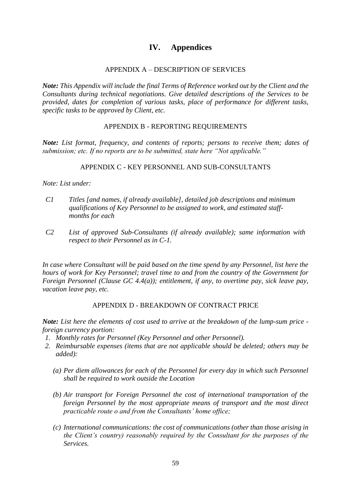## **IV. Appendices**

#### APPENDIX A – DESCRIPTION OF SERVICES

*Note: This Appendix will include the final Terms of Reference worked out by the Client and the Consultants during technical negotiations. Give detailed descriptions of the Services to be provided, dates for completion of various tasks, place of performance for different tasks, specific tasks to be approved by Client, etc.*

### APPENDIX B - REPORTING REQUIREMENTS

*Note: List format, frequency, and contents of reports; persons to receive them; dates of submission; etc. If no reports are to be submitted, state here "Not applicable."*

### APPENDIX C - KEY PERSONNEL AND SUB-CONSULTANTS

*Note: List under:*

- *C1 Titles [and names, if already available], detailed job descriptions and minimum qualifications of Key Personnel to be assigned to work, and estimated staffmonths for each*
- *C2 List of approved Sub-Consultants (if already available); same information with respect to their Personnel as in C-1.*

*In case where Consultant will be paid based on the time spend by any Personnel, list here the hours of work for Key Personnel; travel time to and from the country of the Government for Foreign Personnel (Clause GC 4.4(a)); entitlement, if any, to overtime pay, sick leave pay, vacation leave pay, etc.*

## APPENDIX D - BREAKDOWN OF CONTRACT PRICE

*Note: List here the elements of cost used to arrive at the breakdown of the lump-sum price foreign currency portion:*

- *1. Monthly rates for Personnel (Key Personnel and other Personnel).*
- *2. Reimbursable expenses (items that are not applicable should be deleted; others may be added):*
	- *(a) Per diem allowances for each of the Personnel for every day in which such Personnel shall be required to work outside the Location*
	- *(b) Air transport for Foreign Personnel the cost of international transportation of the foreign Personnel by the most appropriate means of transport and the most direct practicable route o and from the Consultants' home office;*
	- *(c) International communications: the cost of communications (other than those arising in the Client's country) reasonably required by the Consultant for the purposes of the Services.*